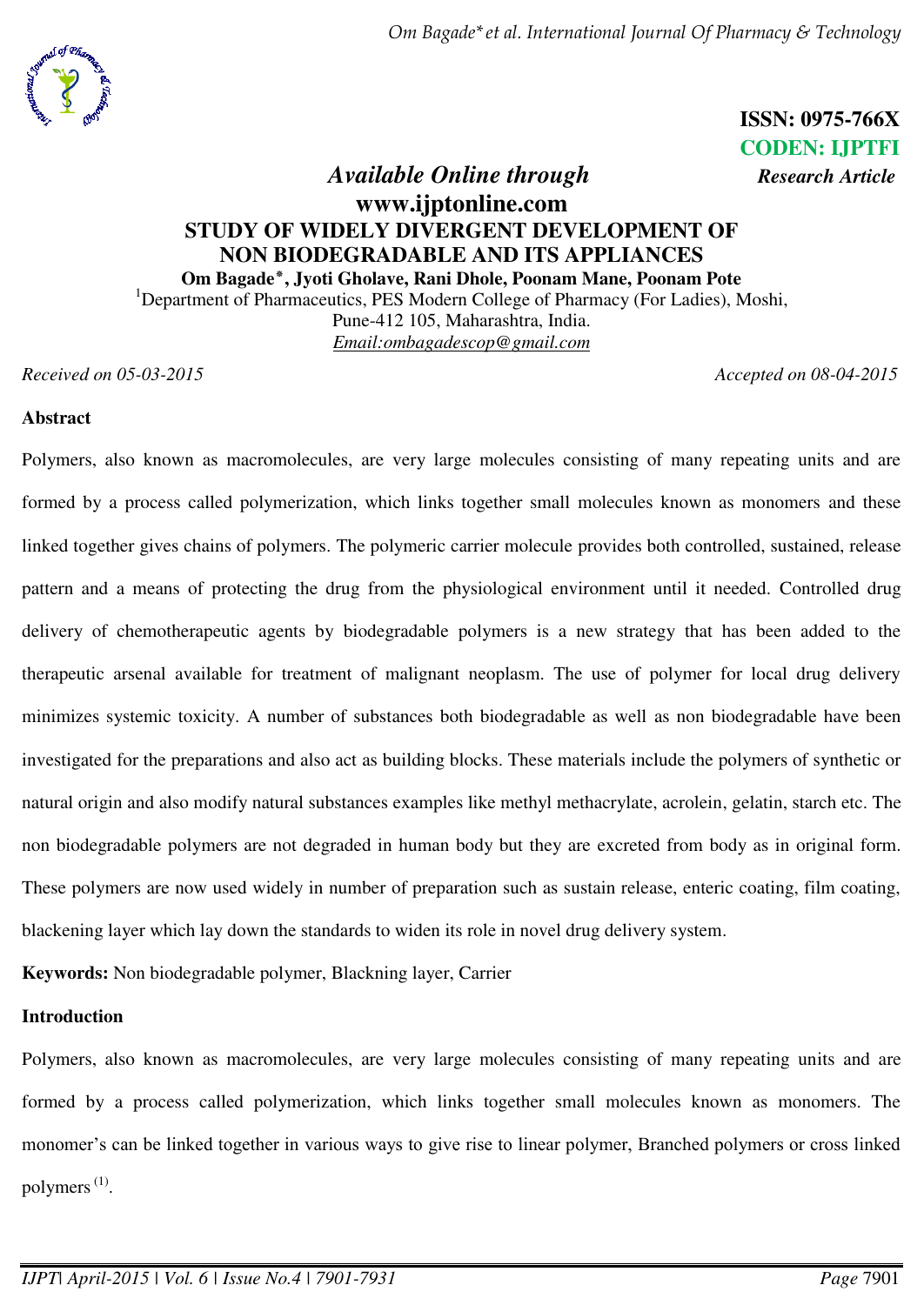*Om Bagade\*et al. International Journal Of Pharmacy & Technology* 



**ISSN: 0975-766X CODEN: IJPTFI** 

# *Available Online through <i>Research Article* **www.ijptonline.com STUDY OF WIDELY DIVERGENT DEVELOPMENT OF NON BIODEGRADABLE AND ITS APPLIANCES Om Bagade٭, Jyoti Gholave, Rani Dhole, Poonam Mane, Poonam Pote**

<sup>1</sup>Department of Pharmaceutics, PES Modern College of Pharmacy (For Ladies), Moshi, Pune-412 105, Maharashtra, India. *Email[:ombagadescop@gmail.com](mailto:ombagadescop@gmail.com)* 

*Received on 05-03-2015 Accepted on 08-04-2015*

# **Abstract**

Polymers, also known as macromolecules, are very large molecules consisting of many repeating units and are formed by a process called polymerization, which links together small molecules known as monomers and these linked together gives chains of polymers. The polymeric carrier molecule provides both controlled, sustained, release pattern and a means of protecting the drug from the physiological environment until it needed. Controlled drug delivery of chemotherapeutic agents by biodegradable polymers is a new strategy that has been added to the therapeutic arsenal available for treatment of malignant neoplasm. The use of polymer for local drug delivery minimizes systemic toxicity. A number of substances both biodegradable as well as non biodegradable have been investigated for the preparations and also act as building blocks. These materials include the polymers of synthetic or natural origin and also modify natural substances examples like methyl methacrylate, acrolein, gelatin, starch etc. The non biodegradable polymers are not degraded in human body but they are excreted from body as in original form. These polymers are now used widely in number of preparation such as sustain release, enteric coating, film coating, blackening layer which lay down the standards to widen its role in novel drug delivery system.

**Keywords:** Non biodegradable polymer, Blackning layer, Carrier

## **Introduction**

Polymers, also known as macromolecules, are very large molecules consisting of many repeating units and are formed by a process called polymerization, which links together small molecules known as monomers. The monomer's can be linked together in various ways to give rise to linear polymer, Branched polymers or cross linked polymers<sup>(1)</sup>.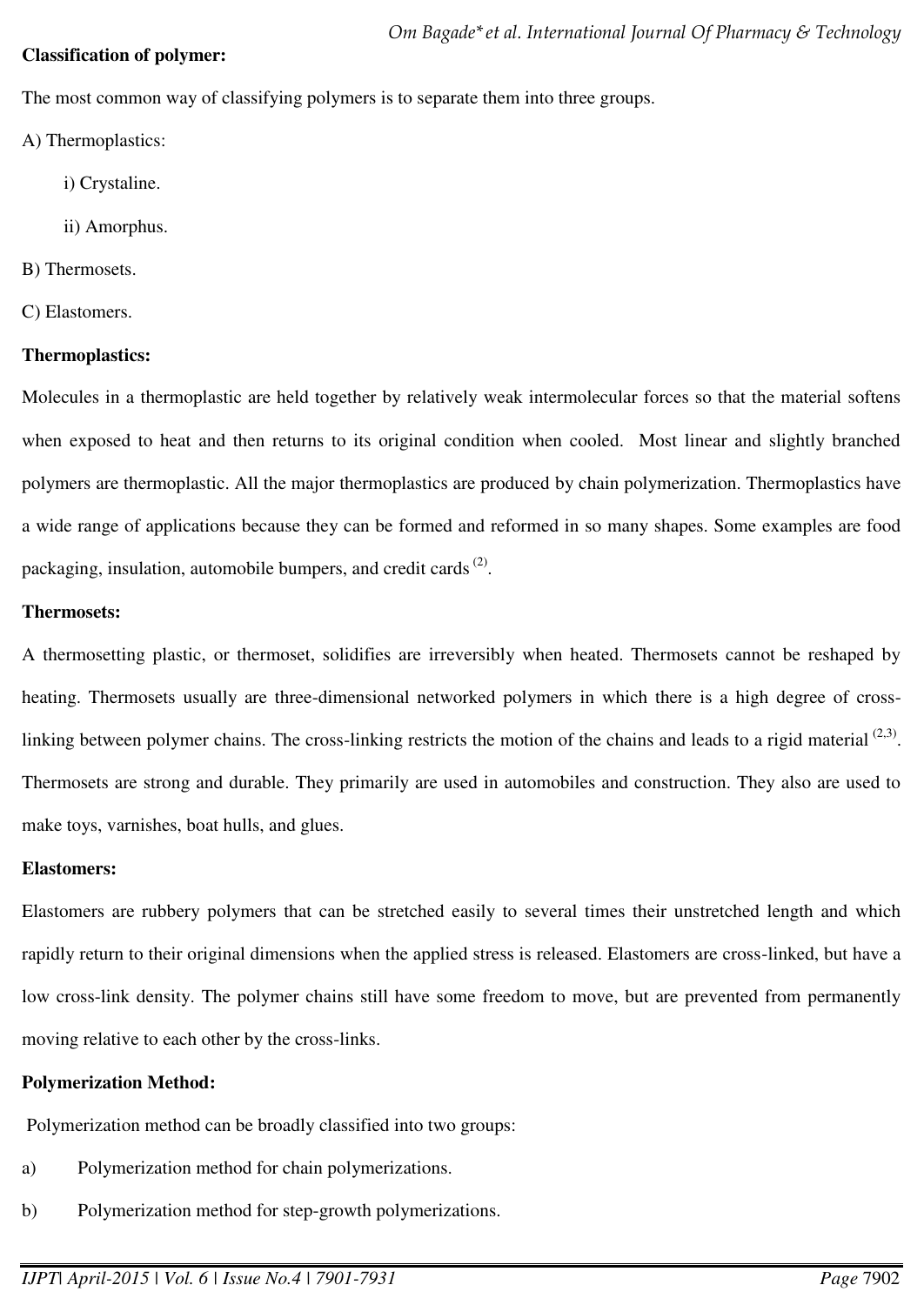### **Classification of polymer:**

The most common way of classifying polymers is to separate them into three groups.

- A) Thermoplastics:
	- i) Crystaline.
	- ii) Amorphus.
- B) Thermosets.
- C) Elastomers.

# **Thermoplastics:**

Molecules in a thermoplastic are held together by relatively weak intermolecular forces so that the material softens when exposed to heat and then returns to its original condition when cooled. Most linear and slightly branched polymers are thermoplastic. All the major thermoplastics are produced by chain polymerization. Thermoplastics have a wide range of applications because they can be formed and reformed in so many shapes. Some examples are food packaging, insulation, automobile bumpers, and credit cards<sup>(2)</sup>.

# **Thermosets:**

A thermosetting plastic, or thermoset, solidifies are irreversibly when heated. Thermosets cannot be reshaped by heating. Thermosets usually are three-dimensional networked polymers in which there is a high degree of crosslinking between polymer chains. The cross-linking restricts the motion of the chains and leads to a rigid material  $(2,3)$ . Thermosets are strong and durable. They primarily are used in automobiles and construction. They also are used to make toys, varnishes, boat hulls, and glues.

## **Elastomers:**

Elastomers are rubbery polymers that can be stretched easily to several times their unstretched length and which rapidly return to their original dimensions when the applied stress is released. Elastomers are cross-linked, but have a low cross-link density. The polymer chains still have some freedom to move, but are prevented from permanently moving relative to each other by the cross-links.

# **Polymerization Method:**

Polymerization method can be broadly classified into two groups:

- a) Polymerization method for chain polymerizations.
- b) Polymerization method for step-growth polymerizations.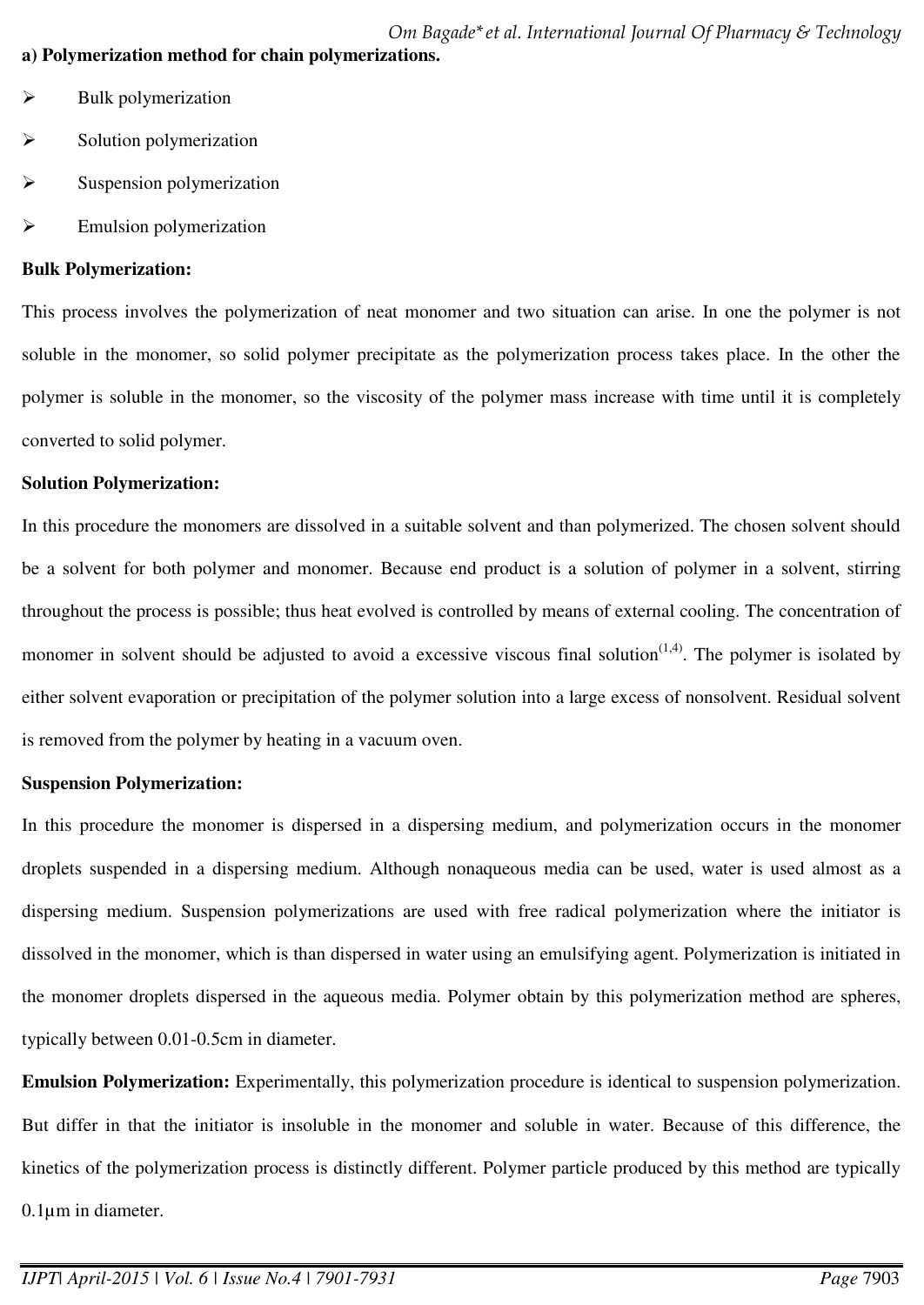*Om Bagade\*et al. International Journal Of Pharmacy & Technology*  **a) Polymerization method for chain polymerizations.** 

- $\triangleright$  Bulk polymerization
- $\triangleright$  Solution polymerization
- $\triangleright$  Suspension polymerization
- $\triangleright$  Emulsion polymerization

### **Bulk Polymerization:**

This process involves the polymerization of neat monomer and two situation can arise. In one the polymer is not soluble in the monomer, so solid polymer precipitate as the polymerization process takes place. In the other the polymer is soluble in the monomer, so the viscosity of the polymer mass increase with time until it is completely converted to solid polymer.

### **Solution Polymerization:**

In this procedure the monomers are dissolved in a suitable solvent and than polymerized. The chosen solvent should be a solvent for both polymer and monomer. Because end product is a solution of polymer in a solvent, stirring throughout the process is possible; thus heat evolved is controlled by means of external cooling. The concentration of monomer in solvent should be adjusted to avoid a excessive viscous final solution $(1,4)$ . The polymer is isolated by either solvent evaporation or precipitation of the polymer solution into a large excess of nonsolvent. Residual solvent is removed from the polymer by heating in a vacuum oven.

## **Suspension Polymerization:**

In this procedure the monomer is dispersed in a dispersing medium, and polymerization occurs in the monomer droplets suspended in a dispersing medium. Although nonaqueous media can be used, water is used almost as a dispersing medium. Suspension polymerizations are used with free radical polymerization where the initiator is dissolved in the monomer, which is than dispersed in water using an emulsifying agent. Polymerization is initiated in the monomer droplets dispersed in the aqueous media. Polymer obtain by this polymerization method are spheres, typically between 0.01-0.5cm in diameter.

**Emulsion Polymerization:** Experimentally, this polymerization procedure is identical to suspension polymerization. But differ in that the initiator is insoluble in the monomer and soluble in water. Because of this difference, the kinetics of the polymerization process is distinctly different. Polymer particle produced by this method are typically 0.1µm in diameter.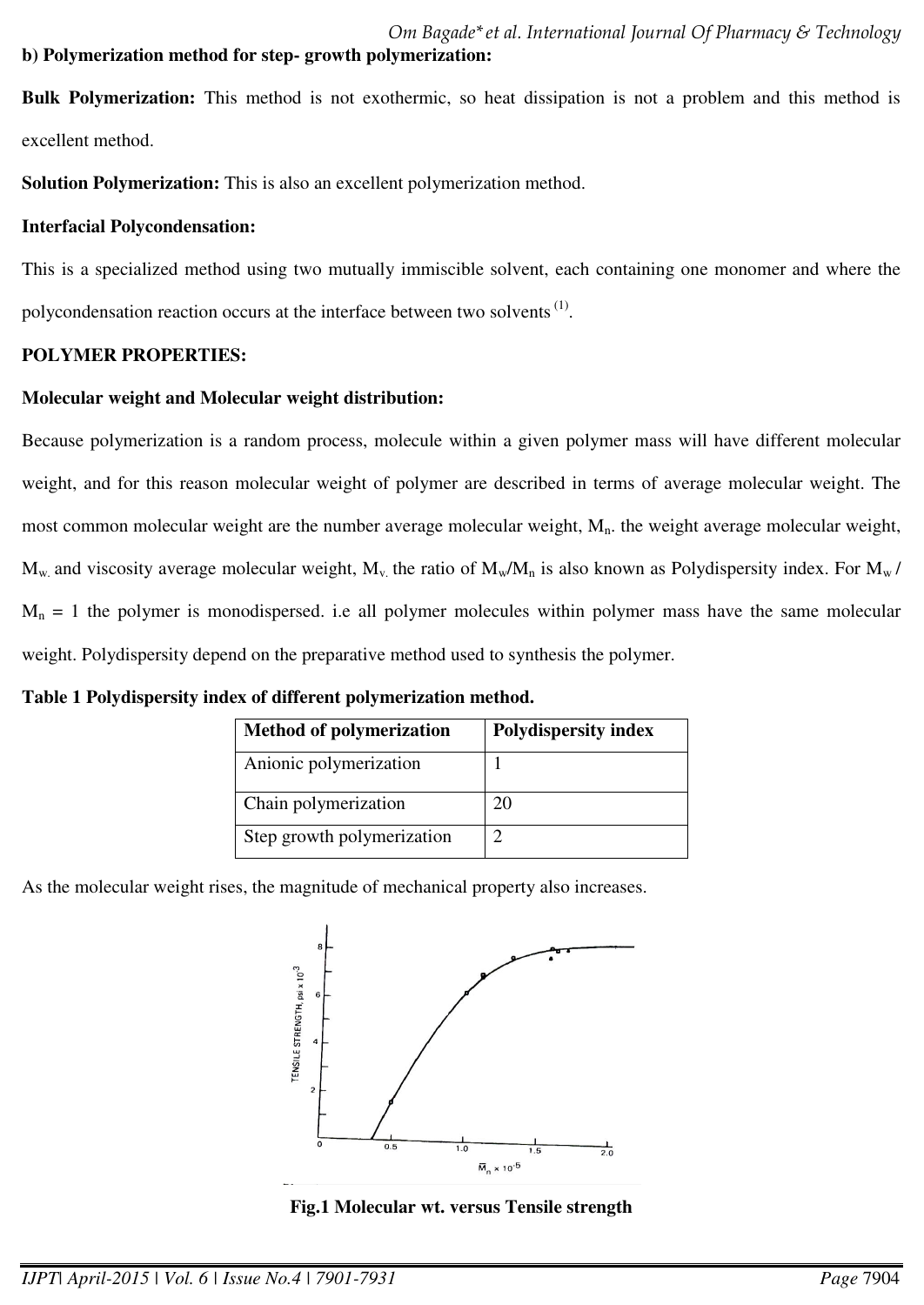# **b) Polymerization method for step- growth polymerization:**

**Bulk Polymerization:** This method is not exothermic, so heat dissipation is not a problem and this method is excellent method.

**Solution Polymerization:** This is also an excellent polymerization method.

# **Interfacial Polycondensation:**

This is a specialized method using two mutually immiscible solvent, each containing one monomer and where the polycondensation reaction occurs at the interface between two solvents  $<sup>(1)</sup>$ .</sup>

# **POLYMER PROPERTIES:**

# **Molecular weight and Molecular weight distribution:**

Because polymerization is a random process, molecule within a given polymer mass will have different molecular weight, and for this reason molecular weight of polymer are described in terms of average molecular weight. The most common molecular weight are the number average molecular weight,  $M_n$ . the weight average molecular weight,  $M_w$  and viscosity average molecular weight,  $M_v$  the ratio of  $M_w/M_n$  is also known as Polydispersity index. For  $M_w/$  $M_n = 1$  the polymer is monodispersed. i.e all polymer molecules within polymer mass have the same molecular weight. Polydispersity depend on the preparative method used to synthesis the polymer.

## **Table 1 Polydispersity index of different polymerization method.**

| <b>Method of polymerization</b> | <b>Polydispersity index</b> |
|---------------------------------|-----------------------------|
| Anionic polymerization          |                             |
| Chain polymerization            | 20                          |
| Step growth polymerization      |                             |

As the molecular weight rises, the magnitude of mechanical property also increases.



**Fig.1 Molecular wt. versus Tensile strength**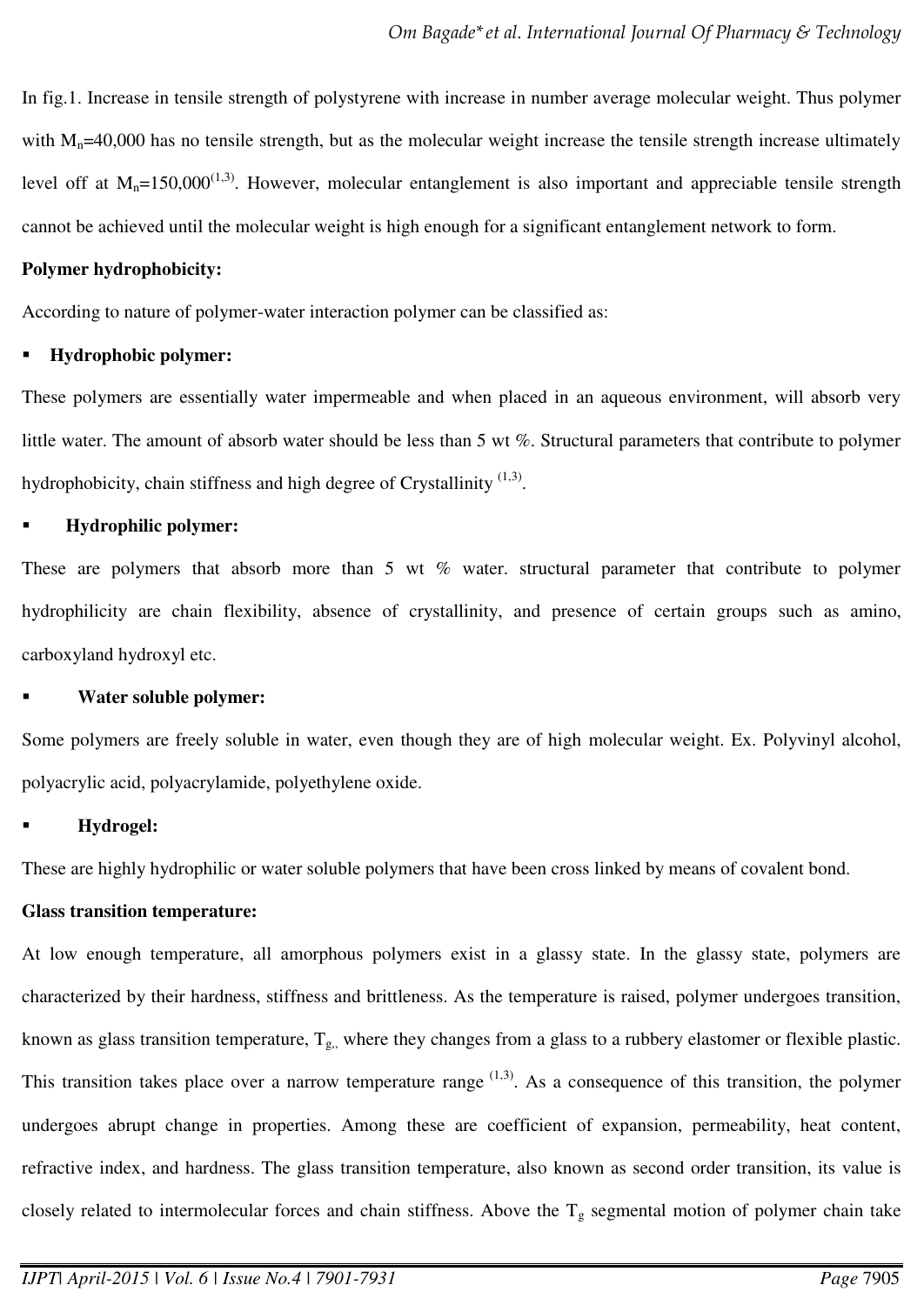In fig.1. Increase in tensile strength of polystyrene with increase in number average molecular weight. Thus polymer with  $M_n=40,000$  has no tensile strength, but as the molecular weight increase the tensile strength increase ultimately level off at  $M_n=150,000^{(1,3)}$ . However, molecular entanglement is also important and appreciable tensile strength cannot be achieved until the molecular weight is high enough for a significant entanglement network to form.

### **Polymer hydrophobicity:**

According to nature of polymer-water interaction polymer can be classified as:

### **Hydrophobic polymer:**

These polymers are essentially water impermeable and when placed in an aqueous environment, will absorb very little water. The amount of absorb water should be less than 5 wt %. Structural parameters that contribute to polymer hydrophobicity, chain stiffness and high degree of Crystallinity  $(1,3)$ .

### **Hydrophilic polymer:**

These are polymers that absorb more than 5 wt % water. structural parameter that contribute to polymer hydrophilicity are chain flexibility, absence of crystallinity, and presence of certain groups such as amino, carboxyland hydroxyl etc.

### **Water soluble polymer:**

Some polymers are freely soluble in water, even though they are of high molecular weight. Ex. Polyvinyl alcohol, polyacrylic acid, polyacrylamide, polyethylene oxide.

## **Hydrogel:**

These are highly hydrophilic or water soluble polymers that have been cross linked by means of covalent bond.

## **Glass transition temperature:**

At low enough temperature, all amorphous polymers exist in a glassy state. In the glassy state, polymers are characterized by their hardness, stiffness and brittleness. As the temperature is raised, polymer undergoes transition, known as glass transition temperature,  $T_{g_n}$  where they changes from a glass to a rubbery elastomer or flexible plastic. This transition takes place over a narrow temperature range  $(1,3)$ . As a consequence of this transition, the polymer undergoes abrupt change in properties. Among these are coefficient of expansion, permeability, heat content, refractive index, and hardness. The glass transition temperature, also known as second order transition, its value is closely related to intermolecular forces and chain stiffness. Above the  $T<sub>g</sub>$  segmental motion of polymer chain take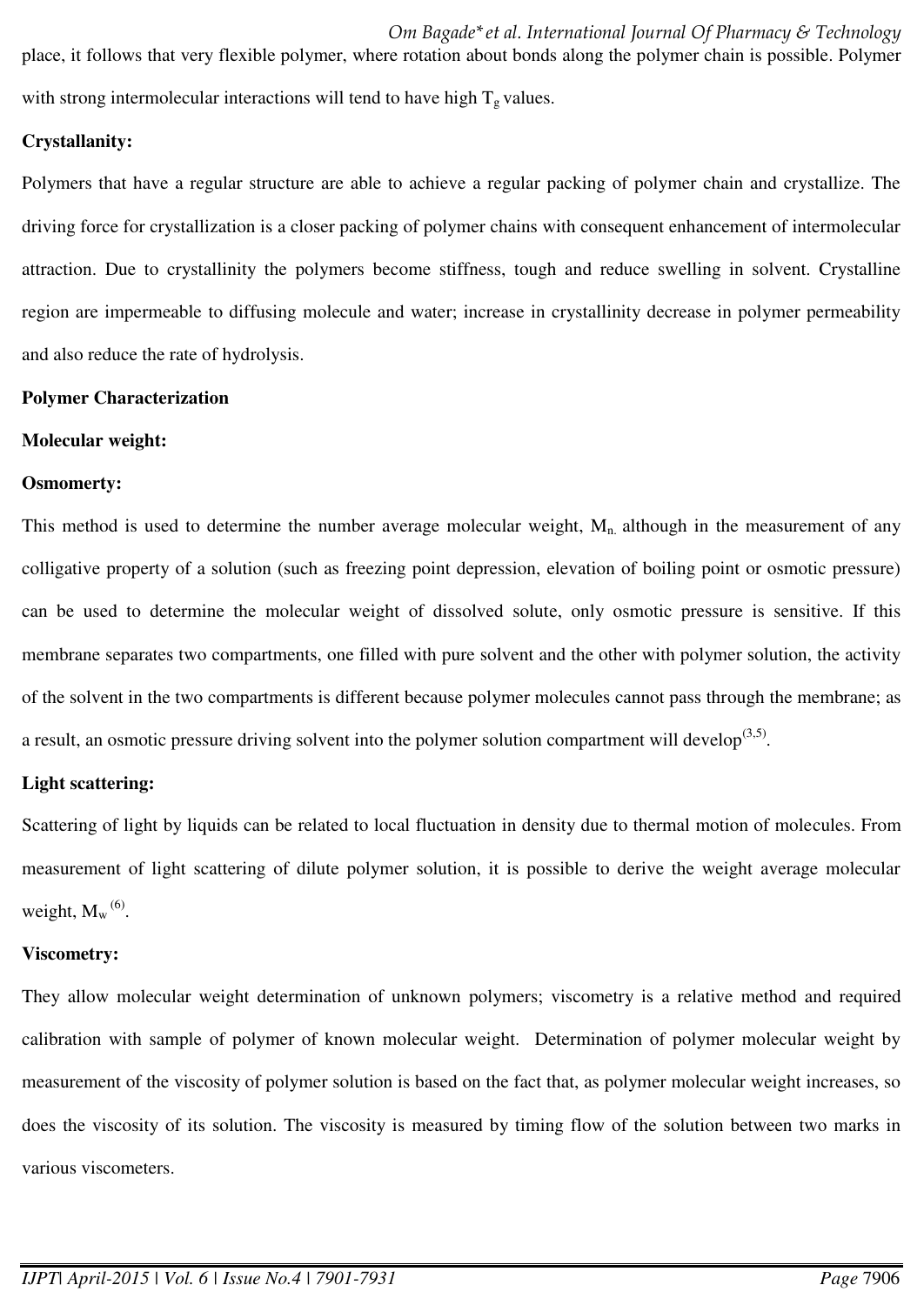## **Crystallanity:**

Polymers that have a regular structure are able to achieve a regular packing of polymer chain and crystallize. The driving force for crystallization is a closer packing of polymer chains with consequent enhancement of intermolecular attraction. Due to crystallinity the polymers become stiffness, tough and reduce swelling in solvent. Crystalline region are impermeable to diffusing molecule and water; increase in crystallinity decrease in polymer permeability and also reduce the rate of hydrolysis.

## **Polymer Characterization**

### **Molecular weight:**

## **Osmomerty:**

This method is used to determine the number average molecular weight,  $M_n$  although in the measurement of any colligative property of a solution (such as freezing point depression, elevation of boiling point or osmotic pressure) can be used to determine the molecular weight of dissolved solute, only osmotic pressure is sensitive. If this membrane separates two compartments, one filled with pure solvent and the other with polymer solution, the activity of the solvent in the two compartments is different because polymer molecules cannot pass through the membrane; as a result, an osmotic pressure driving solvent into the polymer solution compartment will develop<sup> $(3,5)$ </sup>.

## **Light scattering:**

Scattering of light by liquids can be related to local fluctuation in density due to thermal motion of molecules. From measurement of light scattering of dilute polymer solution, it is possible to derive the weight average molecular weight,  $M_w^{(6)}$ .

## **Viscometry:**

They allow molecular weight determination of unknown polymers; viscometry is a relative method and required calibration with sample of polymer of known molecular weight. Determination of polymer molecular weight by measurement of the viscosity of polymer solution is based on the fact that, as polymer molecular weight increases, so does the viscosity of its solution. The viscosity is measured by timing flow of the solution between two marks in various viscometers.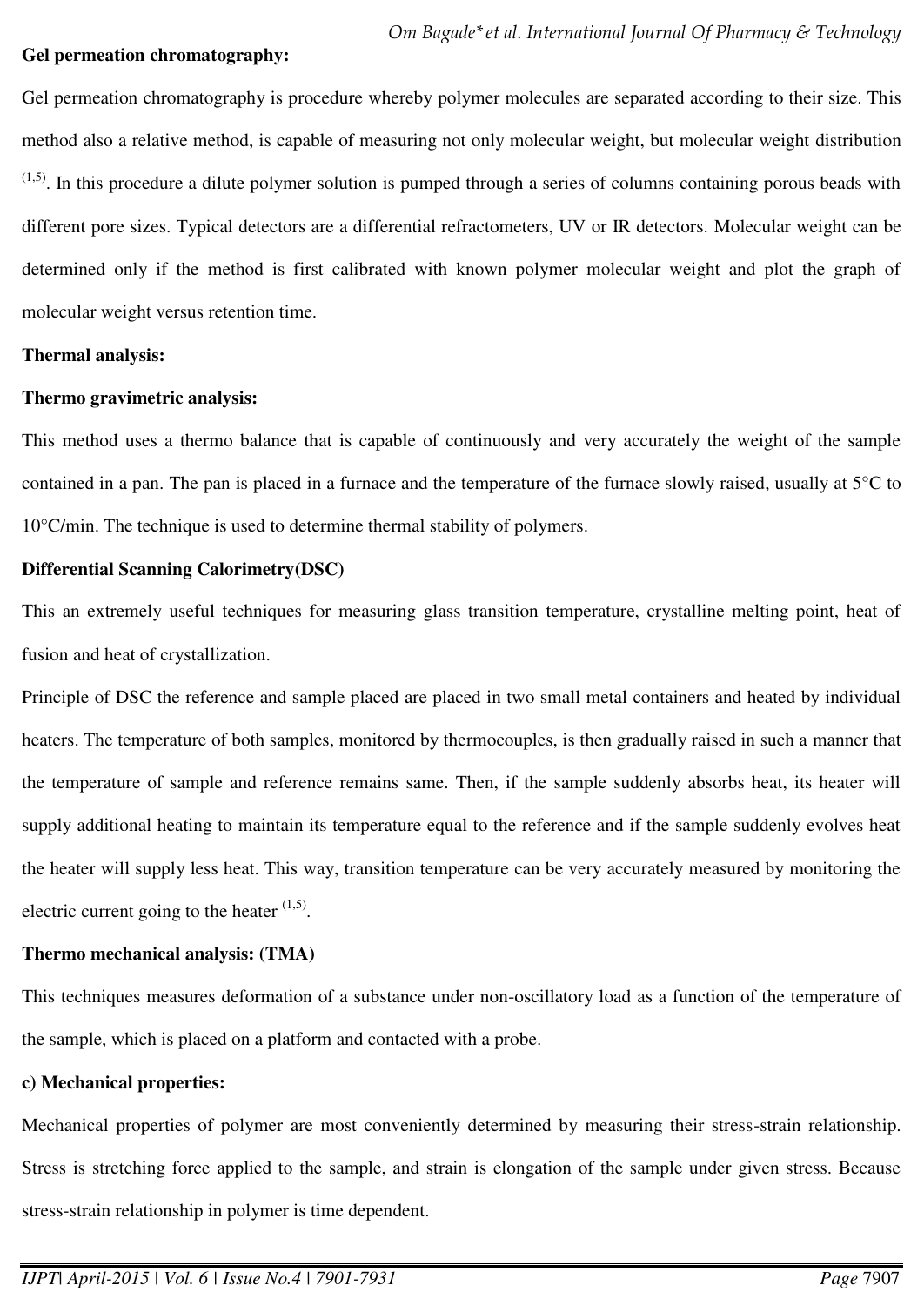### **Gel permeation chromatography:**

Gel permeation chromatography is procedure whereby polymer molecules are separated according to their size. This method also a relative method, is capable of measuring not only molecular weight, but molecular weight distribution  $(1,5)$ . In this procedure a dilute polymer solution is pumped through a series of columns containing porous beads with different pore sizes. Typical detectors are a differential refractometers, UV or IR detectors. Molecular weight can be determined only if the method is first calibrated with known polymer molecular weight and plot the graph of molecular weight versus retention time.

### **Thermal analysis:**

### **Thermo gravimetric analysis:**

This method uses a thermo balance that is capable of continuously and very accurately the weight of the sample contained in a pan. The pan is placed in a furnace and the temperature of the furnace slowly raised, usually at 5°C to 10°C/min. The technique is used to determine thermal stability of polymers.

### **Differential Scanning Calorimetry(DSC)**

This an extremely useful techniques for measuring glass transition temperature, crystalline melting point, heat of fusion and heat of crystallization.

Principle of DSC the reference and sample placed are placed in two small metal containers and heated by individual heaters. The temperature of both samples, monitored by thermocouples, is then gradually raised in such a manner that the temperature of sample and reference remains same. Then, if the sample suddenly absorbs heat, its heater will supply additional heating to maintain its temperature equal to the reference and if the sample suddenly evolves heat the heater will supply less heat. This way, transition temperature can be very accurately measured by monitoring the electric current going to the heater  $(1,5)$ .

### **Thermo mechanical analysis: (TMA)**

This techniques measures deformation of a substance under non-oscillatory load as a function of the temperature of the sample, which is placed on a platform and contacted with a probe.

### **c) Mechanical properties:**

Mechanical properties of polymer are most conveniently determined by measuring their stress-strain relationship. Stress is stretching force applied to the sample, and strain is elongation of the sample under given stress. Because stress-strain relationship in polymer is time dependent.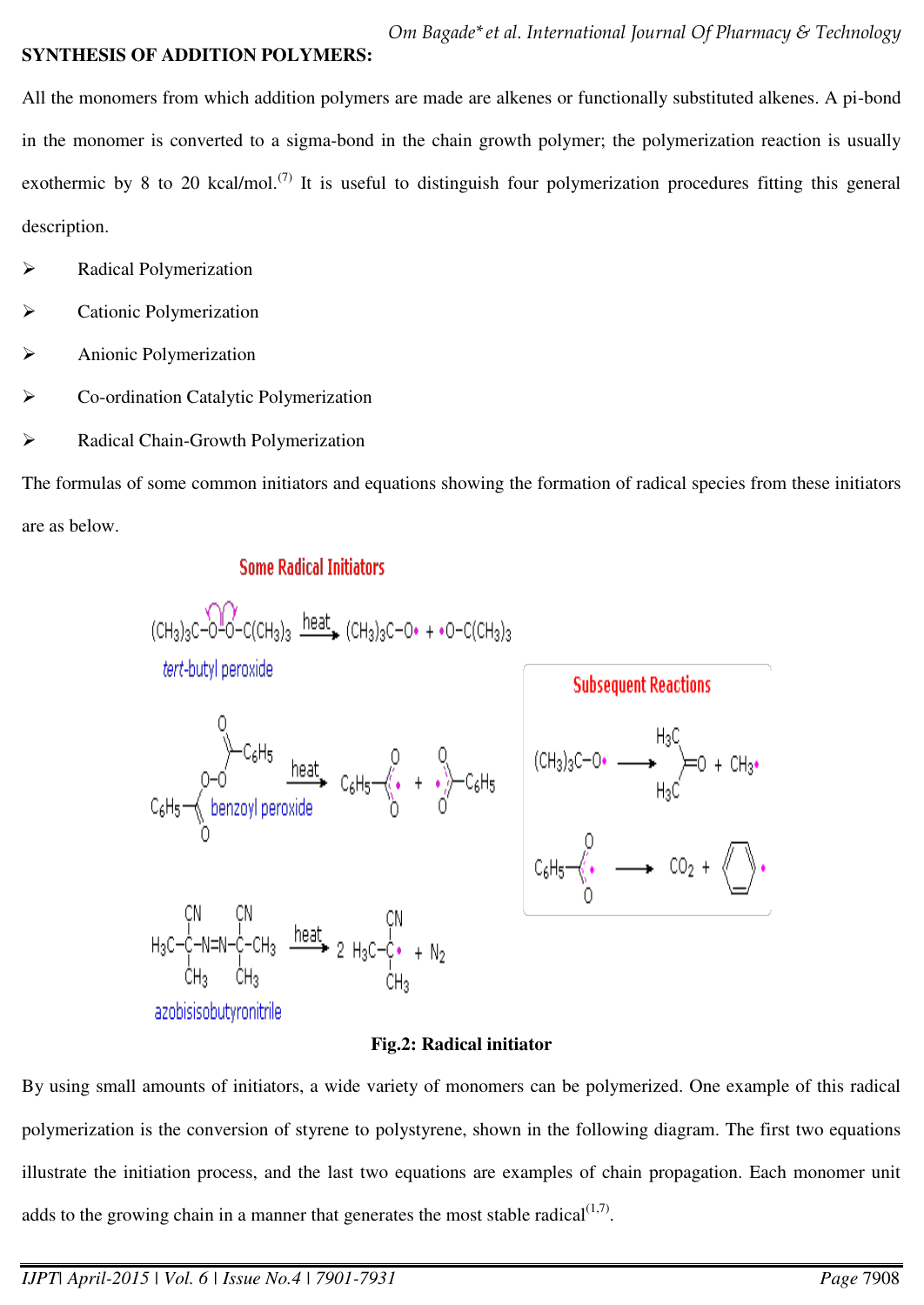## **SYNTHESIS OF ADDITION POLYMERS:**

All the monomers from which addition polymers are made are alkenes or functionally substituted alkenes. A pi-bond in the monomer is converted to a sigma-bond in the chain growth polymer; the polymerization reaction is usually exothermic by 8 to 20 kcal/mol.<sup>(7)</sup> It is useful to distinguish four polymerization procedures fitting this general description.

- Radical Polymerization
- Cationic Polymerization
- Anionic Polymerization
- Co-ordination Catalytic Polymerization
- Radical Chain-Growth Polymerization

The formulas of some common initiators and equations showing the formation of radical species from these initiators are as below.

# **Some Radical Initiators**



## **Fig.2: Radical initiator**

By using small amounts of initiators, a wide variety of monomers can be polymerized. One example of this radical polymerization is the conversion of styrene to polystyrene, shown in the following diagram. The first two equations illustrate the initiation process, and the last two equations are examples of chain propagation. Each monomer unit adds to the growing chain in a manner that generates the most stable radical $(1,7)$ .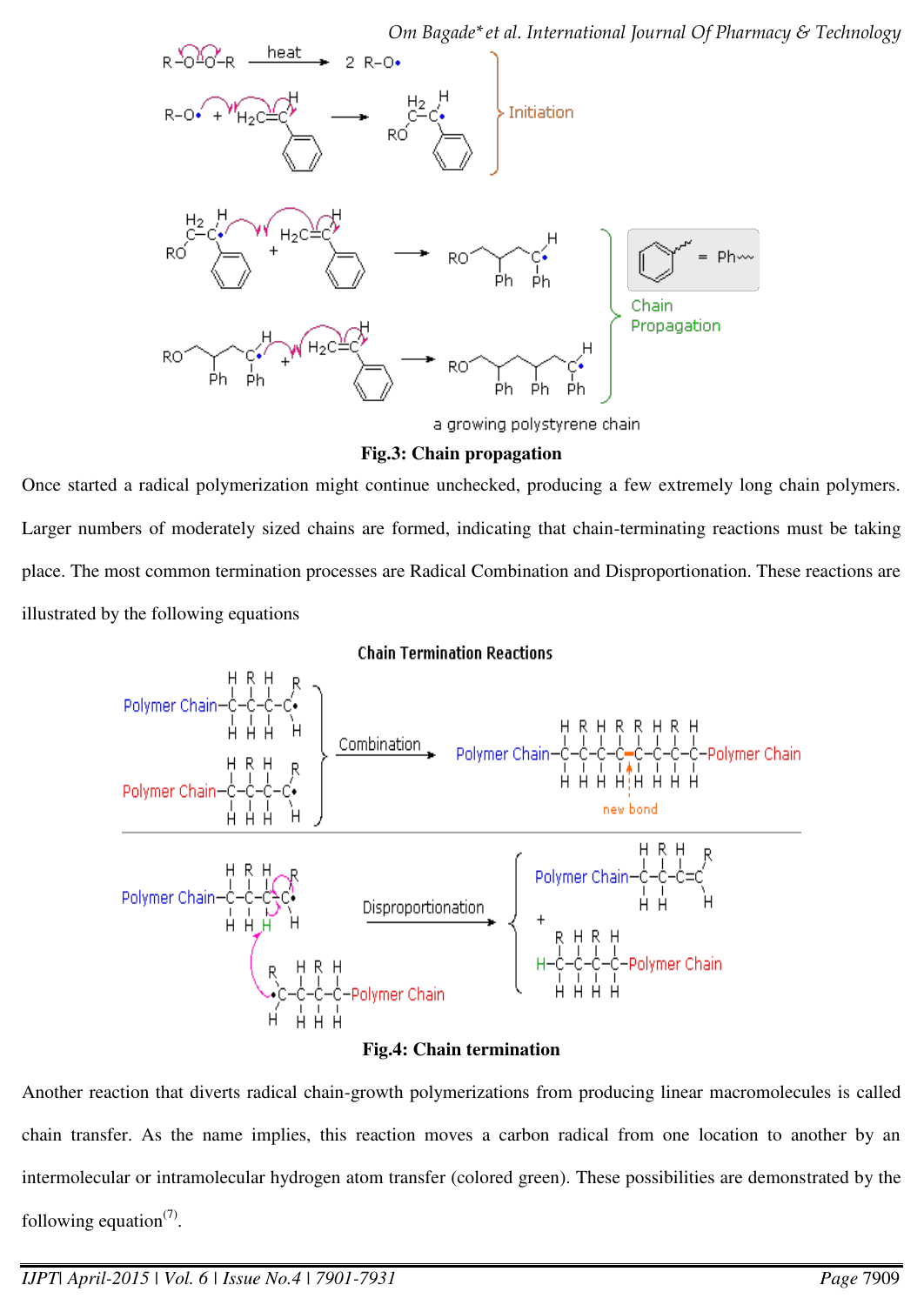*Om Bagade\*et al. International Journal Of Pharmacy & Technology* 



### **Fig.3: Chain propagation**

Once started a radical polymerization might continue unchecked, producing a few extremely long chain polymers. Larger numbers of moderately sized chains are formed, indicating that chain-terminating reactions must be taking place. The most common termination processes are Radical Combination and Disproportionation. These reactions are illustrated by the following equations

### **Chain Termination Reactions**



### **Fig.4: Chain termination**

Another reaction that diverts radical chain-growth polymerizations from producing linear macromolecules is called chain transfer. As the name implies, this reaction moves a carbon radical from one location to another by an intermolecular or intramolecular hydrogen atom transfer (colored green). These possibilities are demonstrated by the following equation $(7)$ .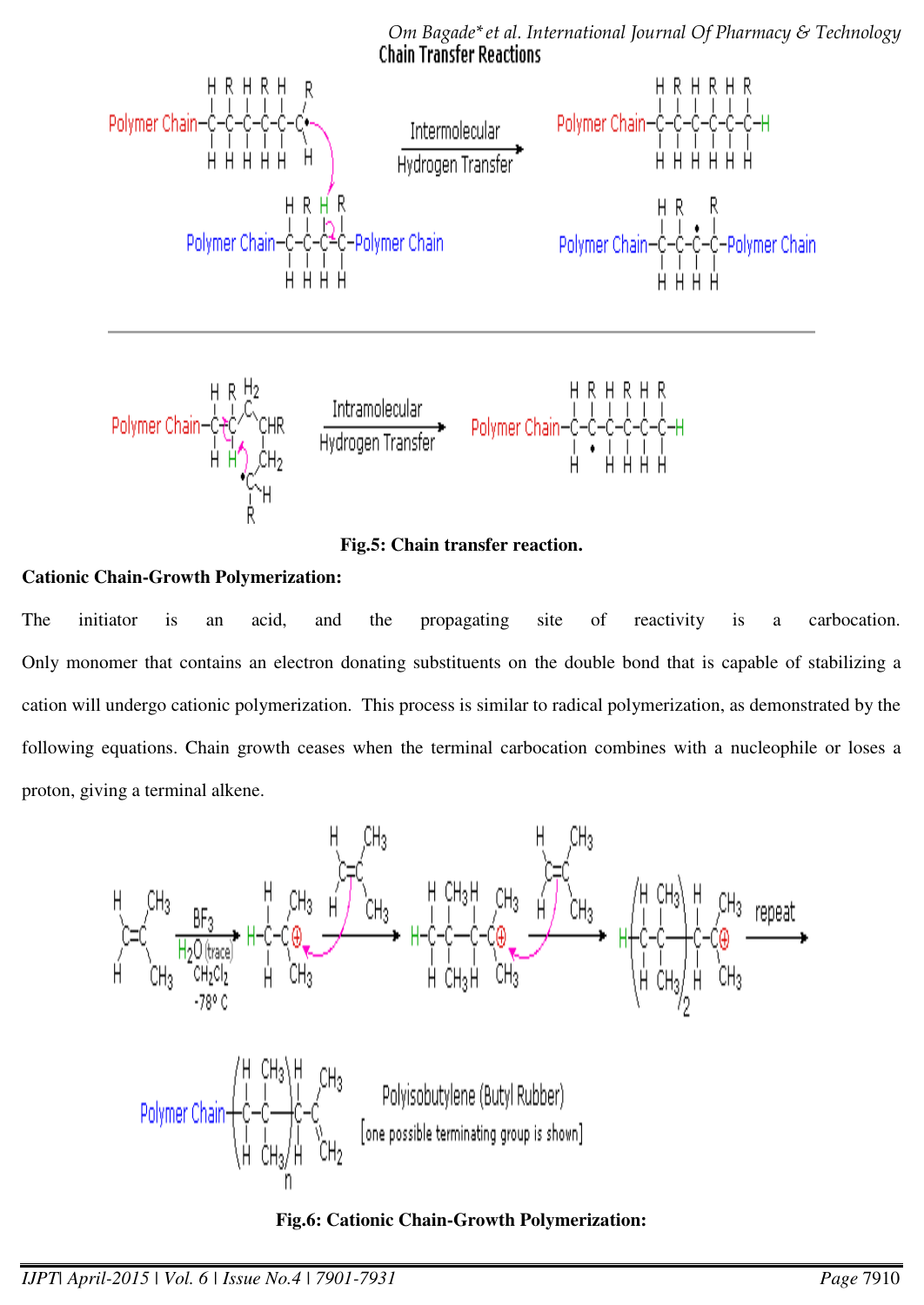

*Om Bagade\*et al. International Journal Of Pharmacy & Technology* 

**Fig.5: Chain transfer reaction.** 

# **Cationic Chain-Growth Polymerization:**

The initiator is an acid, and the propagating site of reactivity is a carbocation. Only monomer that contains an electron donating substituents on the double bond that is capable of stabilizing a cation will undergo cationic polymerization. This process is similar to radical polymerization, as demonstrated by the following equations. Chain growth ceases when the terminal carbocation combines with a nucleophile or loses a proton, giving a terminal alkene.



**Fig.6: Cationic Chain-Growth Polymerization:**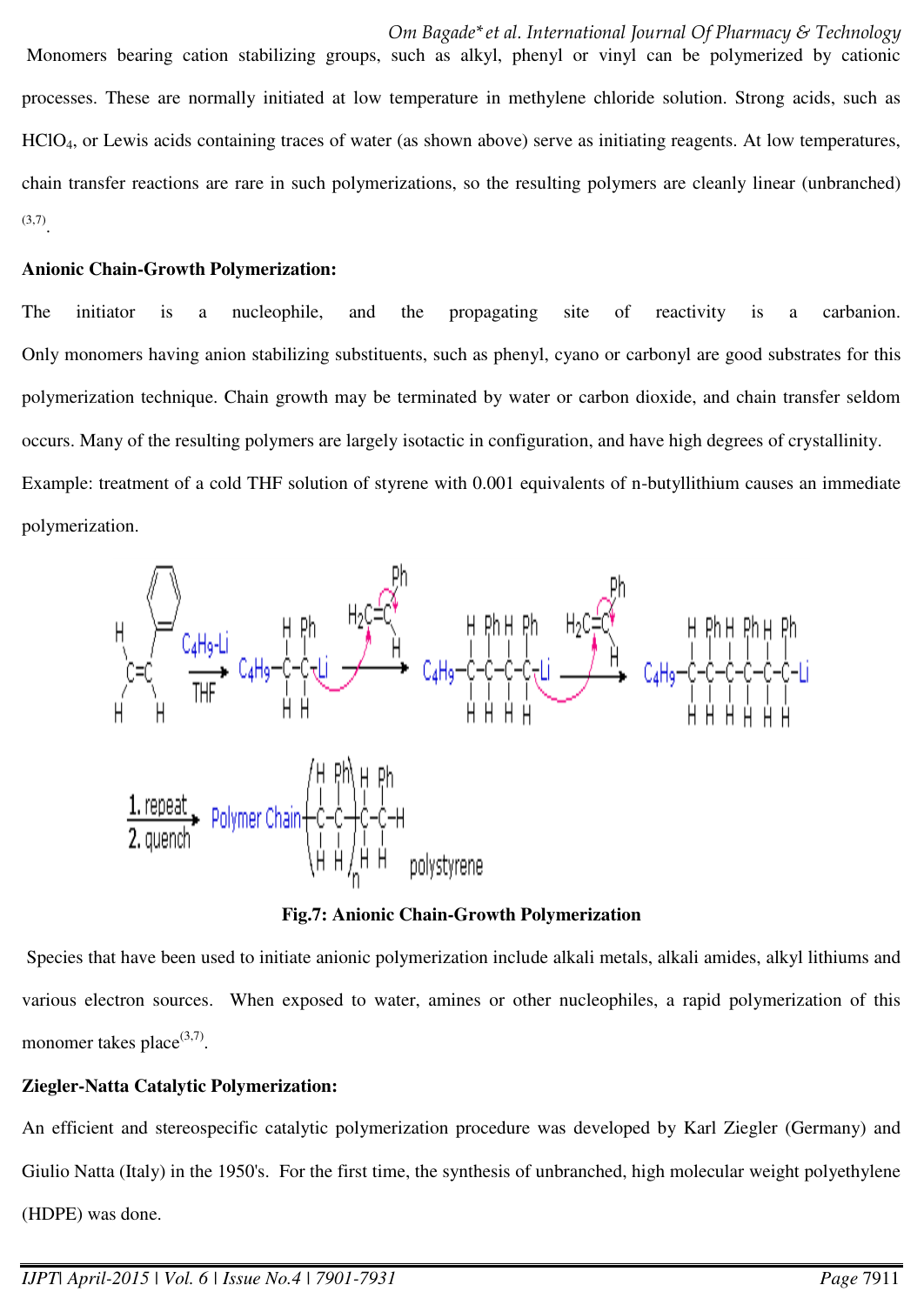processes. These are normally initiated at low temperature in methylene chloride solution. Strong acids, such as HClO4, or Lewis acids containing traces of water (as shown above) serve as initiating reagents. At low temperatures, chain transfer reactions are rare in such polymerizations, so the resulting polymers are cleanly linear (unbranched)  $^{(3,7)}$ .

## **Anionic Chain-Growth Polymerization:**

The initiator is a nucleophile, and the propagating site of reactivity is a carbanion. Only monomers having anion stabilizing substituents, such as phenyl, cyano or carbonyl are good substrates for this polymerization technique. Chain growth may be terminated by water or carbon dioxide, and chain transfer seldom occurs. Many of the resulting polymers are largely isotactic in configuration, and have high degrees of crystallinity. Example: treatment of a cold THF solution of styrene with 0.001 equivalents of n-butyllithium causes an immediate polymerization.



**Fig.7: Anionic Chain-Growth Polymerization** 

 Species that have been used to initiate anionic polymerization include alkali metals, alkali amides, alkyl lithiums and various electron sources. When exposed to water, amines or other nucleophiles, a rapid polymerization of this monomer takes place $(3,7)$ .

# **Ziegler-Natta Catalytic Polymerization:**

An efficient and stereospecific catalytic polymerization procedure was developed by Karl Ziegler (Germany) and Giulio Natta (Italy) in the 1950's. For the first time, the synthesis of unbranched, high molecular weight polyethylene (HDPE) was done.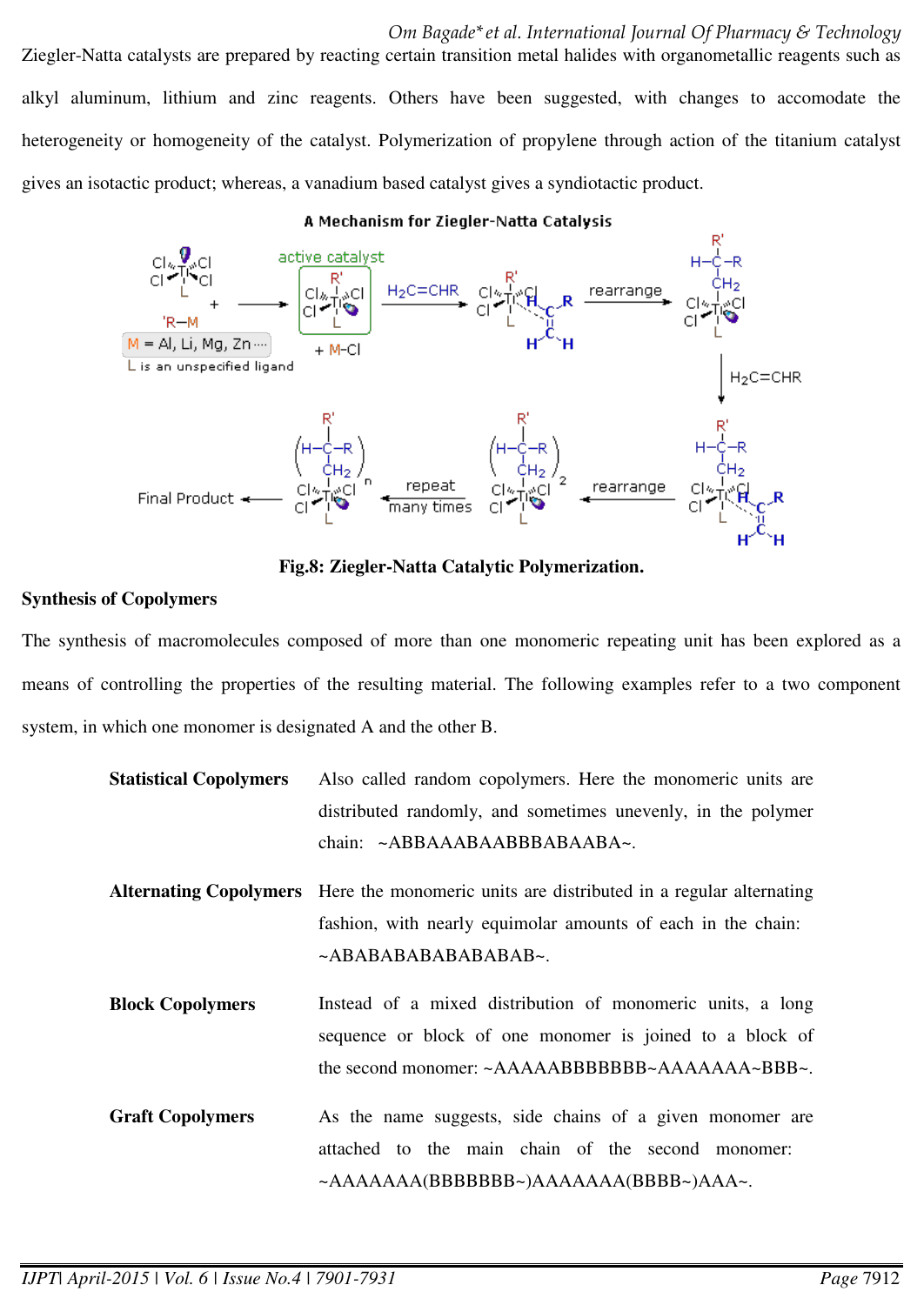Ziegler-Natta catalysts are prepared by reacting certain transition metal halides with organometallic reagents such as alkyl aluminum, lithium and zinc reagents. Others have been suggested, with changes to accomodate the heterogeneity or homogeneity of the catalyst. Polymerization of propylene through action of the titanium catalyst gives an isotactic product; whereas, a vanadium based catalyst gives a syndiotactic product.

#### A Mechanism for Ziegler-Natta Catalysis



**Fig.8: Ziegler-Natta Catalytic Polymerization.** 

### **Synthesis of Copolymers**

The synthesis of macromolecules composed of more than one monomeric repeating unit has been explored as a means of controlling the properties of the resulting material. The following examples refer to a two component system, in which one monomer is designated A and the other B.

| <b>Statistical Copolymers</b> | Also called random copolymers. Here the monomeric units are       |
|-------------------------------|-------------------------------------------------------------------|
|                               | distributed randomly, and sometimes unevenly, in the polymer      |
|                               | chain: ~ABBAAABAABBBABAABA~.                                      |
| <b>Alternating Copolymers</b> | Here the monomeric units are distributed in a regular alternating |
|                               | fashion, with nearly equimolar amounts of each in the chain:      |
|                               | ~ABABABABABABABAB~.                                               |
| <b>Block Copolymers</b>       | Instead of a mixed distribution of monomeric units, a long        |
|                               | sequence or block of one monomer is joined to a block of          |
|                               | the second monomer: ~AAAAABBBBBBBB-AAAAAAA~BBB~.                  |
| <b>Graft Copolymers</b>       | As the name suggests, side chains of a given monomer are          |
|                               | attached to the main chain of the second monomer:                 |
|                               | $\sim$ AAAAAAA(BBBBBBB-)AAAAAAA(BBBB~)AAA~.                       |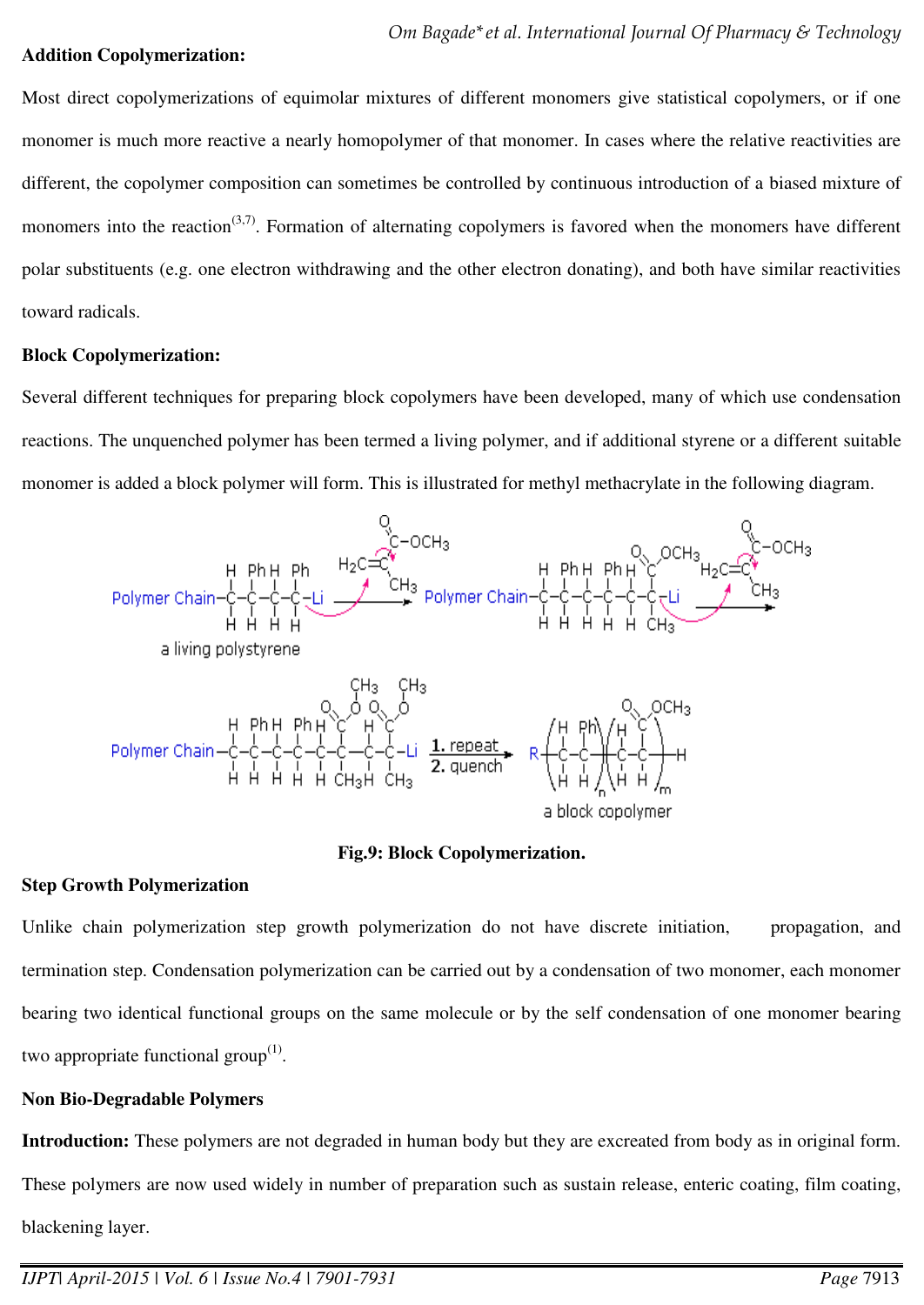### **Addition Copolymerization:**

Most direct copolymerizations of equimolar mixtures of different monomers give statistical copolymers, or if one monomer is much more reactive a nearly homopolymer of that monomer. In cases where the relative reactivities are different, the copolymer composition can sometimes be controlled by continuous introduction of a biased mixture of monomers into the reaction<sup> $(3,7)$ </sup>. Formation of alternating copolymers is favored when the monomers have different polar substituents (e.g. one electron withdrawing and the other electron donating), and both have similar reactivities toward radicals.

### **Block Copolymerization:**

Several different techniques for preparing block copolymers have been developed, many of which use condensation reactions. The unquenched polymer has been termed a living polymer, and if additional styrene or a different suitable monomer is added a block polymer will form. This is illustrated for methyl methacrylate in the following diagram.



### **Fig.9: Block Copolymerization.**

### **Step Growth Polymerization**

Unlike chain polymerization step growth polymerization do not have discrete initiation, propagation, and termination step. Condensation polymerization can be carried out by a condensation of two monomer, each monomer bearing two identical functional groups on the same molecule or by the self condensation of one monomer bearing two appropriate functional group $^{(1)}$ .

## **Non Bio-Degradable Polymers**

**Introduction:** These polymers are not degraded in human body but they are excreated from body as in original form. These polymers are now used widely in number of preparation such as sustain release, enteric coating, film coating, blackening layer.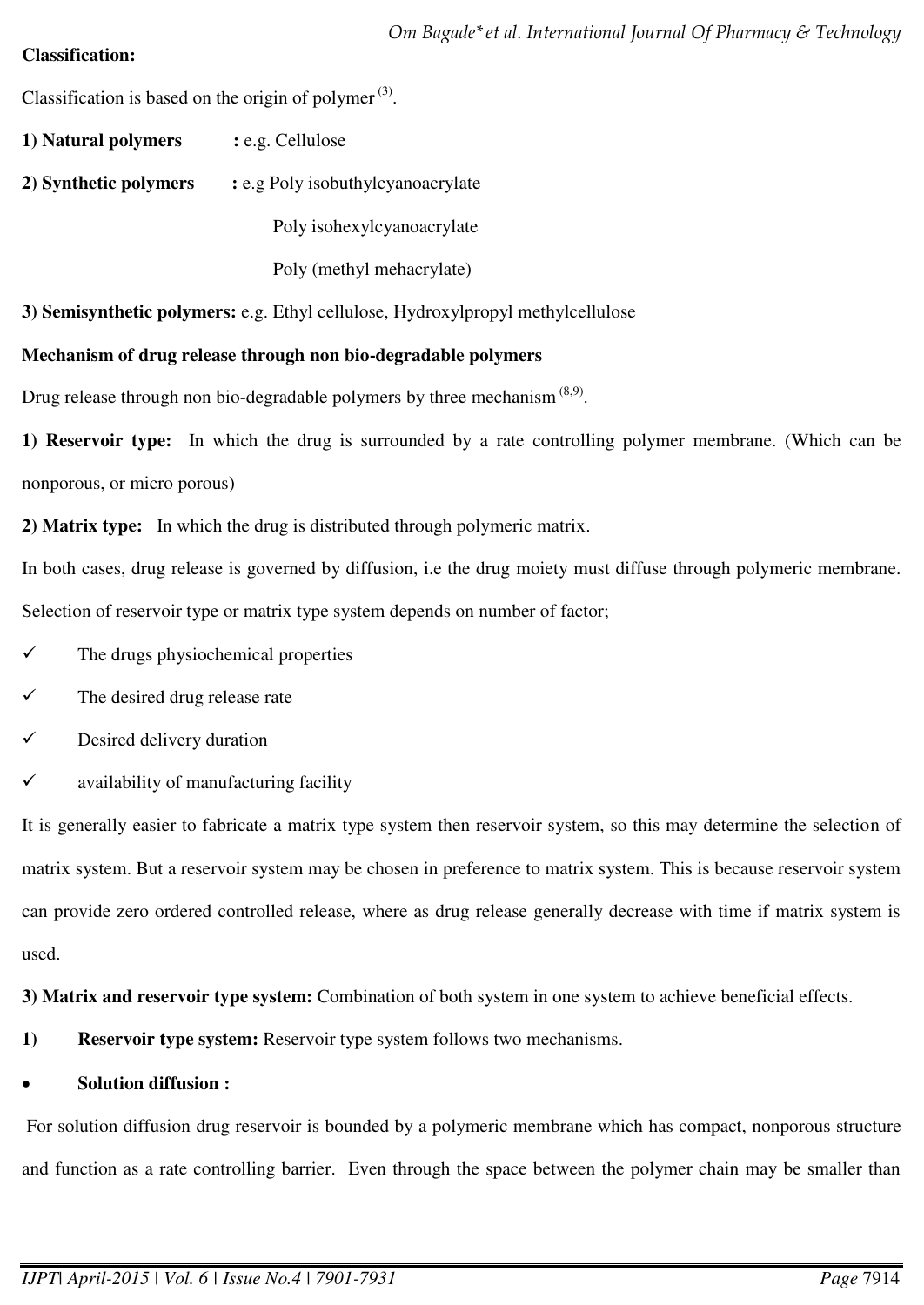# **Classification:**

Classification is based on the origin of polymer $^{(3)}$ .

- **1) Natural polymers :** e.g. Cellulose
- **2) Synthetic polymers :** e.g Poly isobuthylcyanoacrylate

Poly isohexylcyanoacrylate

Poly (methyl mehacrylate)

**3) Semisynthetic polymers:** e.g. Ethyl cellulose, Hydroxylpropyl methylcellulose

# **Mechanism of drug release through non bio-degradable polymers**

Drug release through non bio-degradable polymers by three mechanism  $(8,9)$ .

**1) Reservoir type:** In which the drug is surrounded by a rate controlling polymer membrane. (Which can be nonporous, or micro porous)

**2) Matrix type:** In which the drug is distributed through polymeric matrix.

In both cases, drug release is governed by diffusion, i.e the drug moiety must diffuse through polymeric membrane. Selection of reservoir type or matrix type system depends on number of factor;

- The drugs physiochemical properties
- The desired drug release rate
- $\checkmark$  Desired delivery duration
- $\checkmark$  availability of manufacturing facility

It is generally easier to fabricate a matrix type system then reservoir system, so this may determine the selection of matrix system. But a reservoir system may be chosen in preference to matrix system. This is because reservoir system can provide zero ordered controlled release, where as drug release generally decrease with time if matrix system is used.

**3) Matrix and reservoir type system:** Combination of both system in one system to achieve beneficial effects.

**1) Reservoir type system:** Reservoir type system follows two mechanisms.

# **Solution diffusion :**

 For solution diffusion drug reservoir is bounded by a polymeric membrane which has compact, nonporous structure and function as a rate controlling barrier. Even through the space between the polymer chain may be smaller than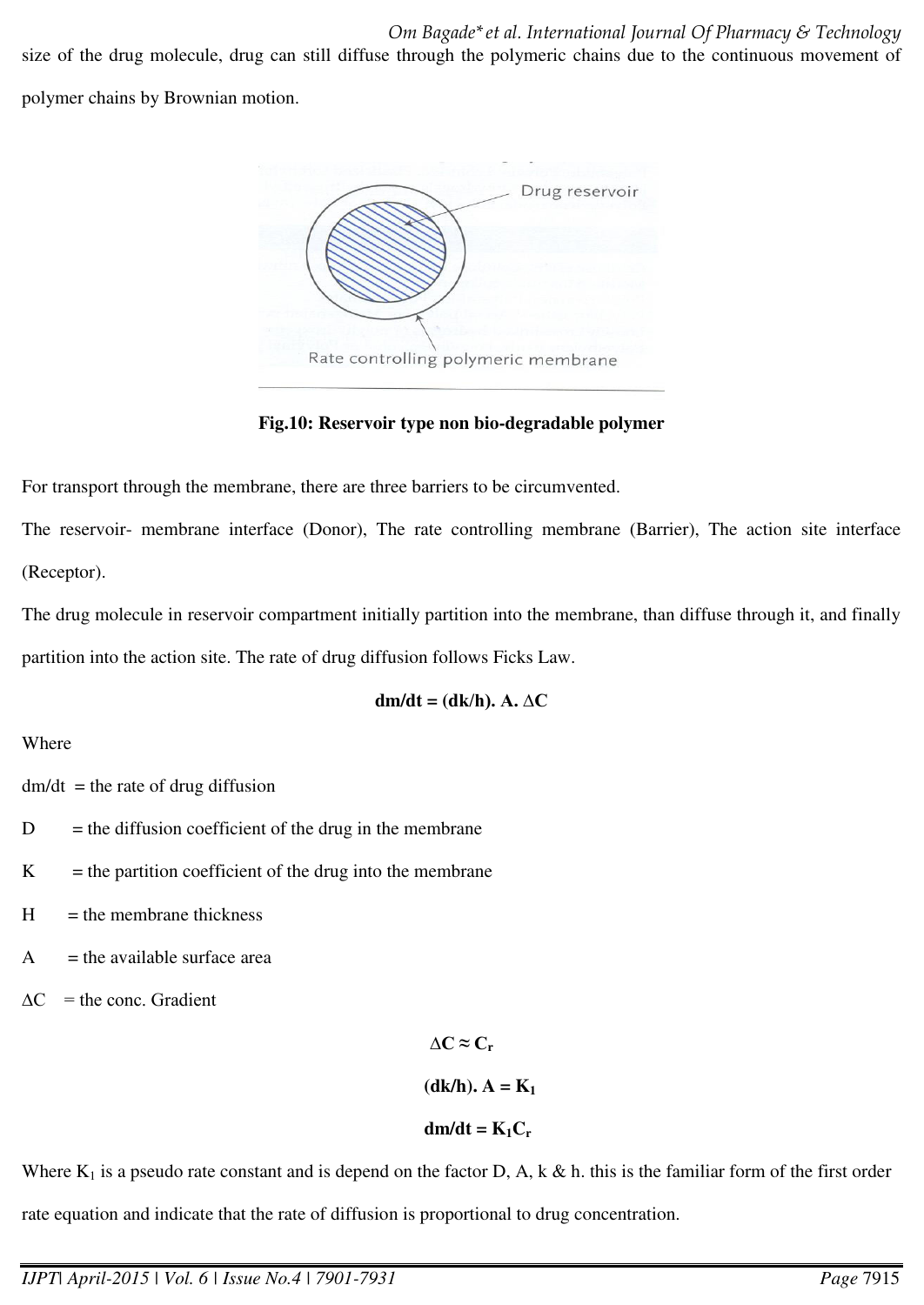size of the drug molecule, drug can still diffuse through the polymeric chains due to the continuous movement of polymer chains by Brownian motion.



**Fig.10: Reservoir type non bio-degradable polymer** 

For transport through the membrane, there are three barriers to be circumvented.

The reservoir- membrane interface (Donor), The rate controlling membrane (Barrier), The action site interface (Receptor).

The drug molecule in reservoir compartment initially partition into the membrane, than diffuse through it, and finally partition into the action site. The rate of drug diffusion follows Ficks Law.

$$
dm/dt = (dk/h). A. \Delta C
$$

## Where

 $dm/dt$  = the rate of drug diffusion

- $D =$  the diffusion coefficient of the drug in the membrane
- $K =$  the partition coefficient of the drug into the membrane
- $H =$  the membrane thickness
- $A =$  the available surface area
- $\Delta C$  = the conc. Gradient

 $\Delta$ **C** ≈ **C**<sub>r</sub>  $(dk/h)$ **.**  $A = K_1$  $dm/dt = K_1C_r$ 

Where  $K_1$  is a pseudo rate constant and is depend on the factor D, A, k & h. this is the familiar form of the first order rate equation and indicate that the rate of diffusion is proportional to drug concentration.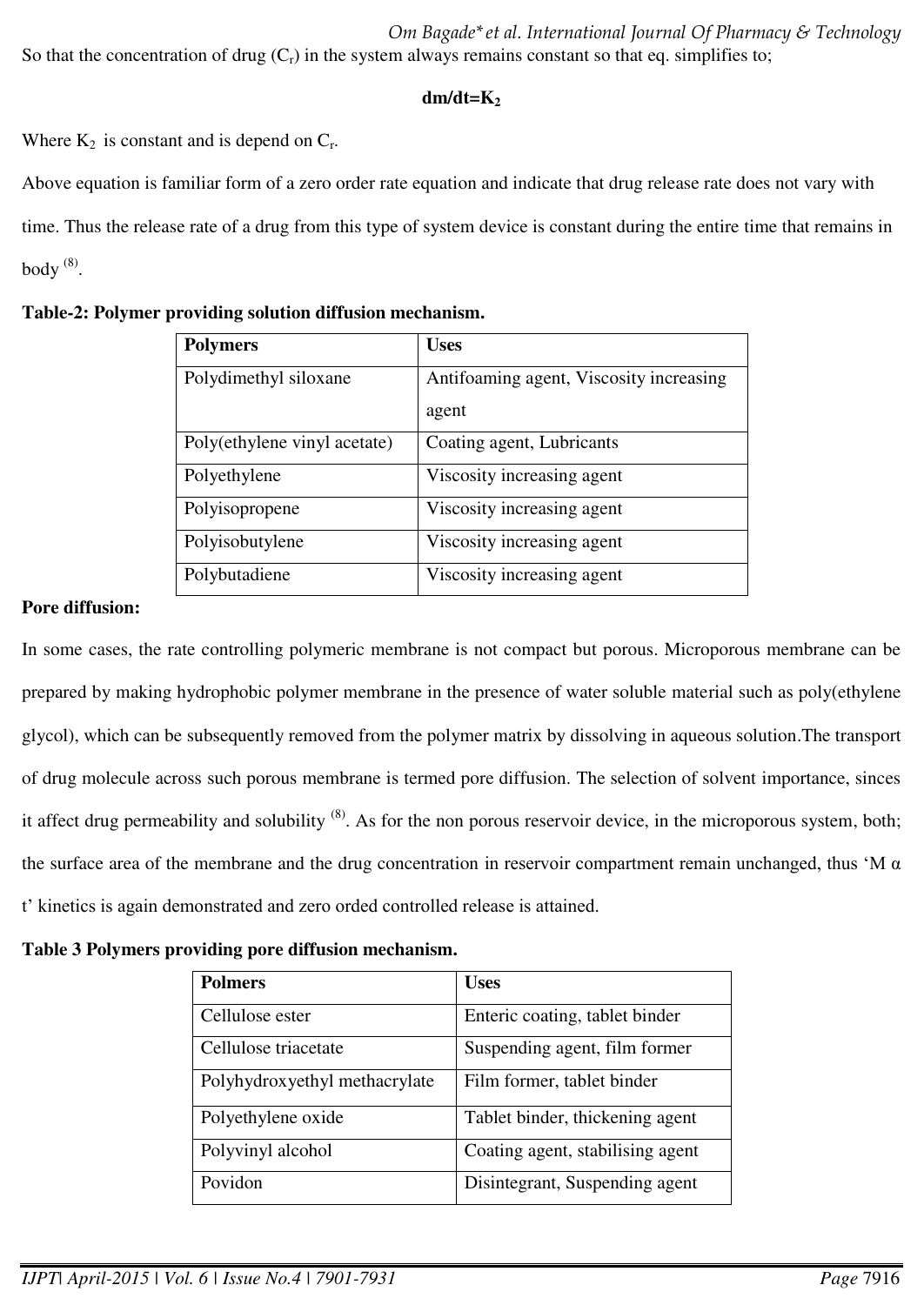*Om Bagade\*et al. International Journal Of Pharmacy & Technology*  So that the concentration of drug  $(C_r)$  in the system always remains constant so that eq. simplifies to;

## **dm/dt=K<sup>2</sup>**

Where  $K_2$  is constant and is depend on  $C_r$ .

Above equation is familiar form of a zero order rate equation and indicate that drug release rate does not vary with time. Thus the release rate of a drug from this type of system device is constant during the entire time that remains in body  $^{(8)}$ .

| Table-2: Polymer providing solution diffusion mechanism. |  |  |  |  |
|----------------------------------------------------------|--|--|--|--|
|----------------------------------------------------------|--|--|--|--|

| <b>Polymers</b>              | <b>Uses</b>                             |
|------------------------------|-----------------------------------------|
| Polydimethyl siloxane        | Antifoaming agent, Viscosity increasing |
|                              | agent                                   |
| Poly(ethylene vinyl acetate) | Coating agent, Lubricants               |
| Polyethylene                 | Viscosity increasing agent              |
| Polyisopropene               | Viscosity increasing agent              |
| Polyisobutylene              | Viscosity increasing agent              |
| Polybutadiene                | Viscosity increasing agent              |

### **Pore diffusion:**

In some cases, the rate controlling polymeric membrane is not compact but porous. Microporous membrane can be prepared by making hydrophobic polymer membrane in the presence of water soluble material such as poly(ethylene glycol), which can be subsequently removed from the polymer matrix by dissolving in aqueous solution.The transport of drug molecule across such porous membrane is termed pore diffusion. The selection of solvent importance, sinces it affect drug permeability and solubility  $^{(8)}$ . As for the non porous reservoir device, in the microporous system, both; the surface area of the membrane and the drug concentration in reservoir compartment remain unchanged, thus 'M α t' kinetics is again demonstrated and zero orded controlled release is attained.

**Table 3 Polymers providing pore diffusion mechanism.** 

| <b>Polmers</b>                | <b>Uses</b>                      |
|-------------------------------|----------------------------------|
| Cellulose ester               | Enteric coating, tablet binder   |
| Cellulose triacetate          | Suspending agent, film former    |
| Polyhydroxyethyl methacrylate | Film former, tablet binder       |
| Polyethylene oxide            | Tablet binder, thickening agent  |
| Polyvinyl alcohol             | Coating agent, stabilising agent |
| Povidon                       | Disintegrant, Suspending agent   |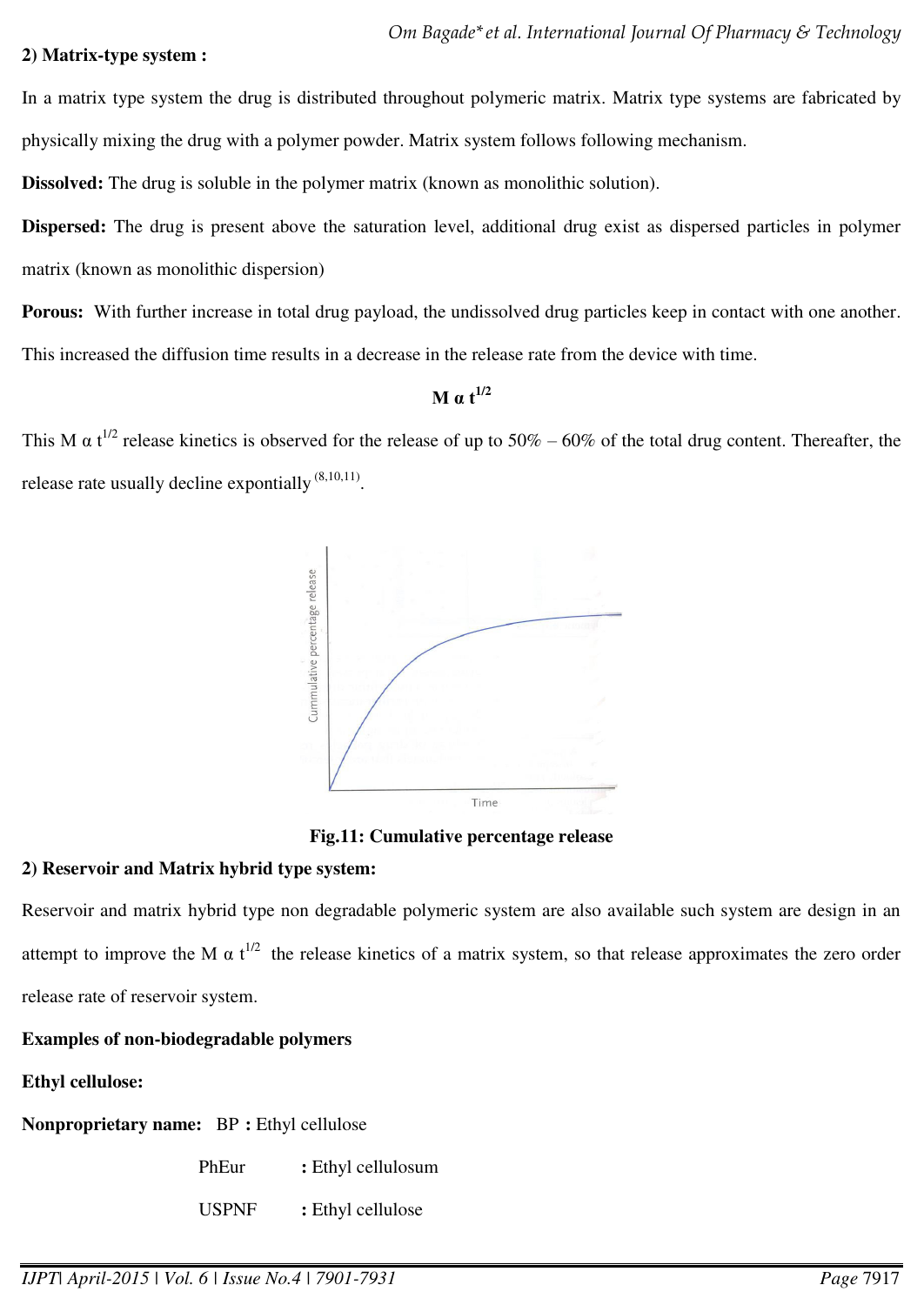#### **2) Matrix-type system :**

In a matrix type system the drug is distributed throughout polymeric matrix. Matrix type systems are fabricated by physically mixing the drug with a polymer powder. Matrix system follows following mechanism.

**Dissolved:** The drug is soluble in the polymer matrix (known as monolithic solution).

**Dispersed:** The drug is present above the saturation level, additional drug exist as dispersed particles in polymer matrix (known as monolithic dispersion)

**Porous:** With further increase in total drug payload, the undissolved drug particles keep in contact with one another. This increased the diffusion time results in a decrease in the release rate from the device with time.

# **M**  $\alpha$  **t**<sup>1/2</sup>

This M  $\alpha$  t<sup>1/2</sup> release kinetics is observed for the release of up to 50% – 60% of the total drug content. Thereafter, the release rate usually decline expontially  $(8,10,11)$ .



**Fig.11: Cumulative percentage release** 

## **2) Reservoir and Matrix hybrid type system:**

Reservoir and matrix hybrid type non degradable polymeric system are also available such system are design in an attempt to improve the M  $\alpha$  t<sup>1/2</sup> the release kinetics of a matrix system, so that release approximates the zero order release rate of reservoir system.

## **Examples of non-biodegradable polymers**

## **Ethyl cellulose:**

**Nonproprietary name:** BP **:** Ethyl cellulose

PhEur : Ethyl cellulosum

USPNF : Ethyl cellulose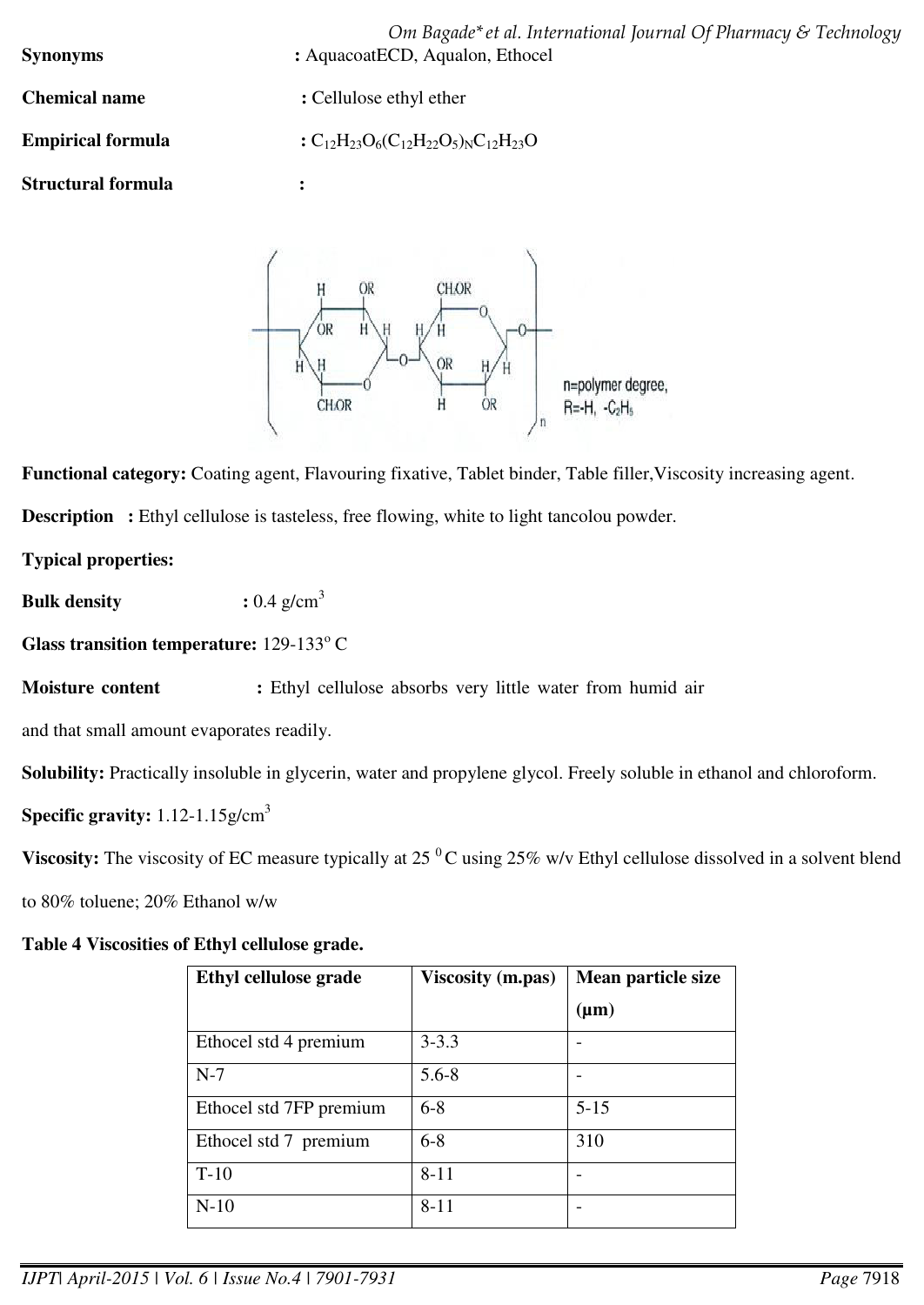*Om Bagade\*et al. International Journal Of Pharmacy & Technology*  **Synonyms** : AquacoatECD, Aqualon, Ethocel **Chemical name** : Cellulose ethyl ether **Empirical formula**  $:C_{12}H_{23}O_6(C_{12}H_{22}O_5)_{N}C_{12}H_{23}O_5$ 

**Structural formula :** 



**Functional category:** Coating agent, Flavouring fixative, Tablet binder, Table filler,Viscosity increasing agent.

**Description** : Ethyl cellulose is tasteless, free flowing, white to light tancolou powder.

**Typical properties:** 

**Bulk density** :  $0.4 \text{ g/cm}^3$ 

Glass transition temperature: 129-133°C

**Moisture content :** Ethyl cellulose absorbs very little water from humid air

and that small amount evaporates readily.

**Solubility:** Practically insoluble in glycerin, water and propylene glycol. Freely soluble in ethanol and chloroform.

**Specific gravity:** 1.12-1.15g/cm<sup>3</sup>

**Viscosity:** The viscosity of EC measure typically at 25<sup>°</sup>C using 25% w/v Ethyl cellulose dissolved in a solvent blend

to 80% toluene; 20% Ethanol w/w

# **Table 4 Viscosities of Ethyl cellulose grade.**

| Ethyl cellulose grade   | <b>Viscosity</b> (m.pas) | Mean particle size |
|-------------------------|--------------------------|--------------------|
|                         |                          | $(\mu m)$          |
| Ethocel std 4 premium   | $3 - 3.3$                |                    |
| $N-7$                   | $5.6 - 8$                |                    |
| Ethocel std 7FP premium | $6 - 8$                  | $5 - 15$           |
| Ethocel std 7 premium   | $6 - 8$                  | 310                |
| $T-10$                  | $8 - 11$                 |                    |
| $N-10$                  | $8 - 11$                 |                    |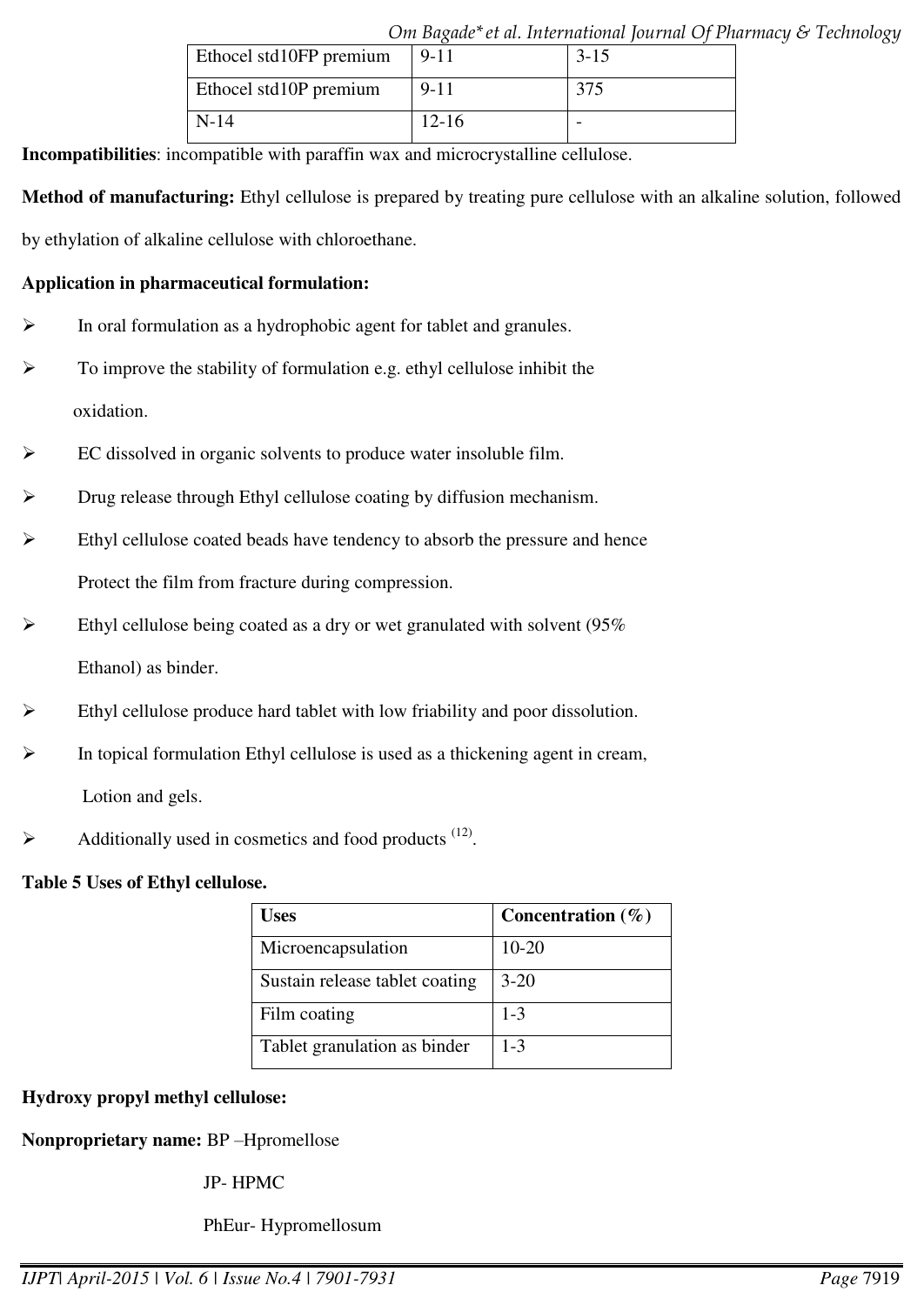|                         |           | <u>Um Dagaac et al. mematurum juurnal Uj Framm</u> |  |
|-------------------------|-----------|----------------------------------------------------|--|
| Ethocel std10FP premium | $9 - 11$  | $3 - 15$                                           |  |
| Ethocel std10P premium  | $9 - 11$  | 375                                                |  |
| $N-14$                  | $12 - 16$ |                                                    |  |

**Incompatibilities**: incompatible with paraffin wax and microcrystalline cellulose.

**Method of manufacturing:** Ethyl cellulose is prepared by treating pure cellulose with an alkaline solution, followed by ethylation of alkaline cellulose with chloroethane.

### **Application in pharmaceutical formulation:**

- $\triangleright$  In oral formulation as a hydrophobic agent for tablet and granules.
- $\triangleright$  To improve the stability of formulation e.g. ethyl cellulose inhibit the oxidation.
- EC dissolved in organic solvents to produce water insoluble film.
- Drug release through Ethyl cellulose coating by diffusion mechanism.
- Ethyl cellulose coated beads have tendency to absorb the pressure and hence Protect the film from fracture during compression.
- Ethyl cellulose being coated as a dry or wet granulated with solvent (95% Ethanol) as binder.
- Ethyl cellulose produce hard tablet with low friability and poor dissolution.
- In topical formulation Ethyl cellulose is used as a thickening agent in cream, Lotion and gels.
- $\blacktriangleright$  Additionally used in cosmetics and food products  $(12)$ .

## **Table 5 Uses of Ethyl cellulose.**

| <b>Uses</b>                    | Concentration $(\%)$ |
|--------------------------------|----------------------|
| Microencapsulation             | $10 - 20$            |
| Sustain release tablet coating | $3 - 20$             |
| Film coating                   | $1 - 3$              |
| Tablet granulation as binder   | $1 - 3$              |

## **Hydroxy propyl methyl cellulose:**

**Nonproprietary name:** BP –Hpromellose

JP- HPMC

PhEur- Hypromellosum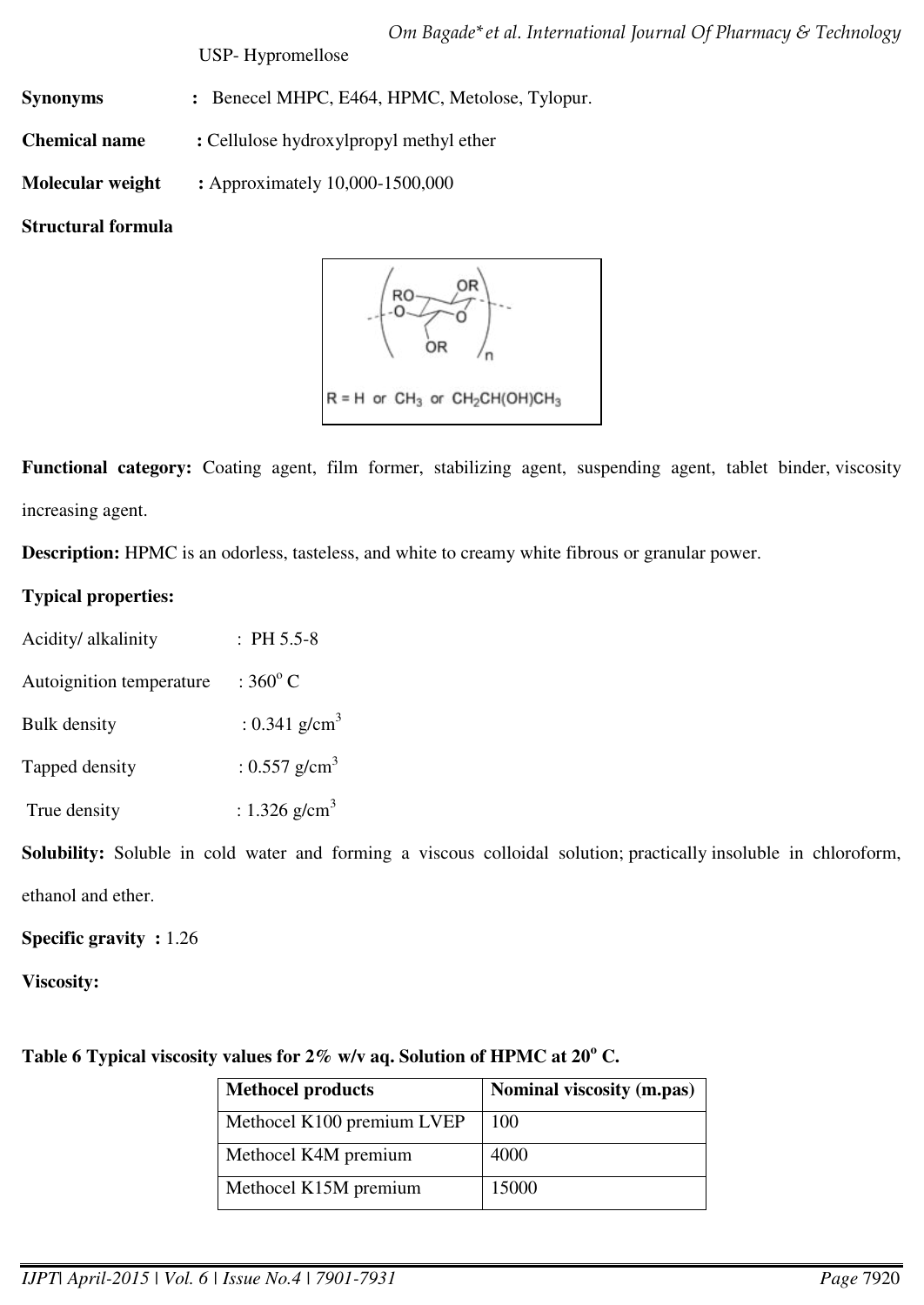USP- Hypromellose

**Synonyms :** Benecel MHPC, E464, HPMC, Metolose, Tylopur.

**Chemical name :** Cellulose hydroxylpropyl methyl ether

**Molecular weight :** Approximately 10,000-1500,000

# **Structural formula**



**Functional category:** Coating agent, film former, stabilizing agent, suspending agent, tablet binder, viscosity increasing agent.

**Description:** HPMC is an odorless, tasteless, and white to creamy white fibrous or granular power.

# **Typical properties:**

| Acidity/ alkalinity      | $: PH 5.5-8$              |
|--------------------------|---------------------------|
| Autoignition temperature | $:360^{\circ}$ C          |
| <b>Bulk density</b>      | : 0.341 g/cm <sup>3</sup> |
| Tapped density           | : 0.557 g/cm <sup>3</sup> |
| True density             | : 1.326 g/cm <sup>3</sup> |

**Solubility:** Soluble in cold water and forming a viscous colloidal solution; practically insoluble in chloroform, ethanol and ether.

# **Specific gravity :** 1.26

**Viscosity:**

Table 6 Typical viscosity values for 2% w/v aq. Solution of HPMC at 20<sup>°</sup> C.

| <b>Methocel products</b>   | Nominal viscosity (m.pas) |
|----------------------------|---------------------------|
| Methocel K100 premium LVEP | 100                       |
| Methocel K4M premium       | 4000                      |
| Methocel K15M premium      | 15000                     |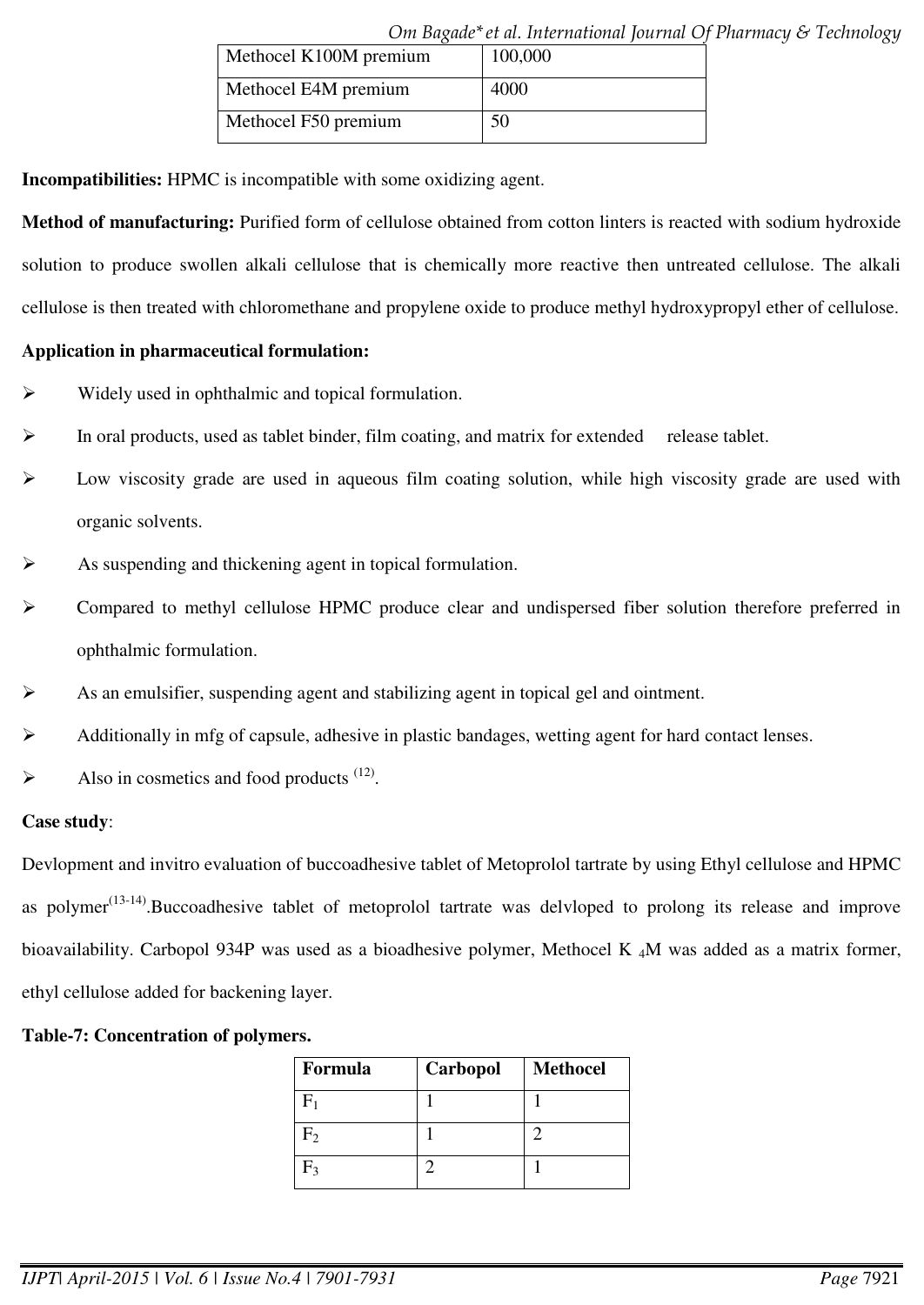|                        | Om bağade et al. international journal Of Ph |  |
|------------------------|----------------------------------------------|--|
| Methocel K100M premium | 100,000                                      |  |
| Methocel E4M premium   | 4000                                         |  |
| Methocel F50 premium   | 50                                           |  |

*Om Bagade\*et al. International Journal Of Pharmacy & Technology* 

**Incompatibilities:** HPMC is incompatible with some oxidizing agent.

**Method of manufacturing:** Purified form of cellulose obtained from cotton linters is reacted with sodium hydroxide solution to produce swollen alkali cellulose that is chemically more reactive then untreated cellulose. The alkali cellulose is then treated with chloromethane and propylene oxide to produce methyl hydroxypropyl ether of cellulose.

## **Application in pharmaceutical formulation:**

- Widely used in ophthalmic and topical formulation.
- $\triangleright$  In oral products, used as tablet binder, film coating, and matrix for extended release tablet.
- Low viscosity grade are used in aqueous film coating solution, while high viscosity grade are used with organic solvents.
- As suspending and thickening agent in topical formulation.
- Compared to methyl cellulose HPMC produce clear and undispersed fiber solution therefore preferred in ophthalmic formulation.
- As an emulsifier, suspending agent and stabilizing agent in topical gel and ointment.
- Additionally in mfg of capsule, adhesive in plastic bandages, wetting agent for hard contact lenses.
- $\blacktriangleright$  Also in cosmetics and food products <sup>(12)</sup>.

## **Case study**:

Devlopment and invitro evaluation of buccoadhesive tablet of Metoprolol tartrate by using Ethyl cellulose and HPMC as polymer $(13-14)$ . Buccoadhesive tablet of metoprolol tartrate was delvloped to prolong its release and improve bioavailability. Carbopol 934P was used as a bioadhesive polymer, Methocel K <sub>4</sub>M was added as a matrix former, ethyl cellulose added for backening layer.

## **Table-7: Concentration of polymers.**

| Formula | Carbopol | <b>Methocel</b> |
|---------|----------|-----------------|
|         |          |                 |
| F       |          |                 |
| ⊣ว      |          |                 |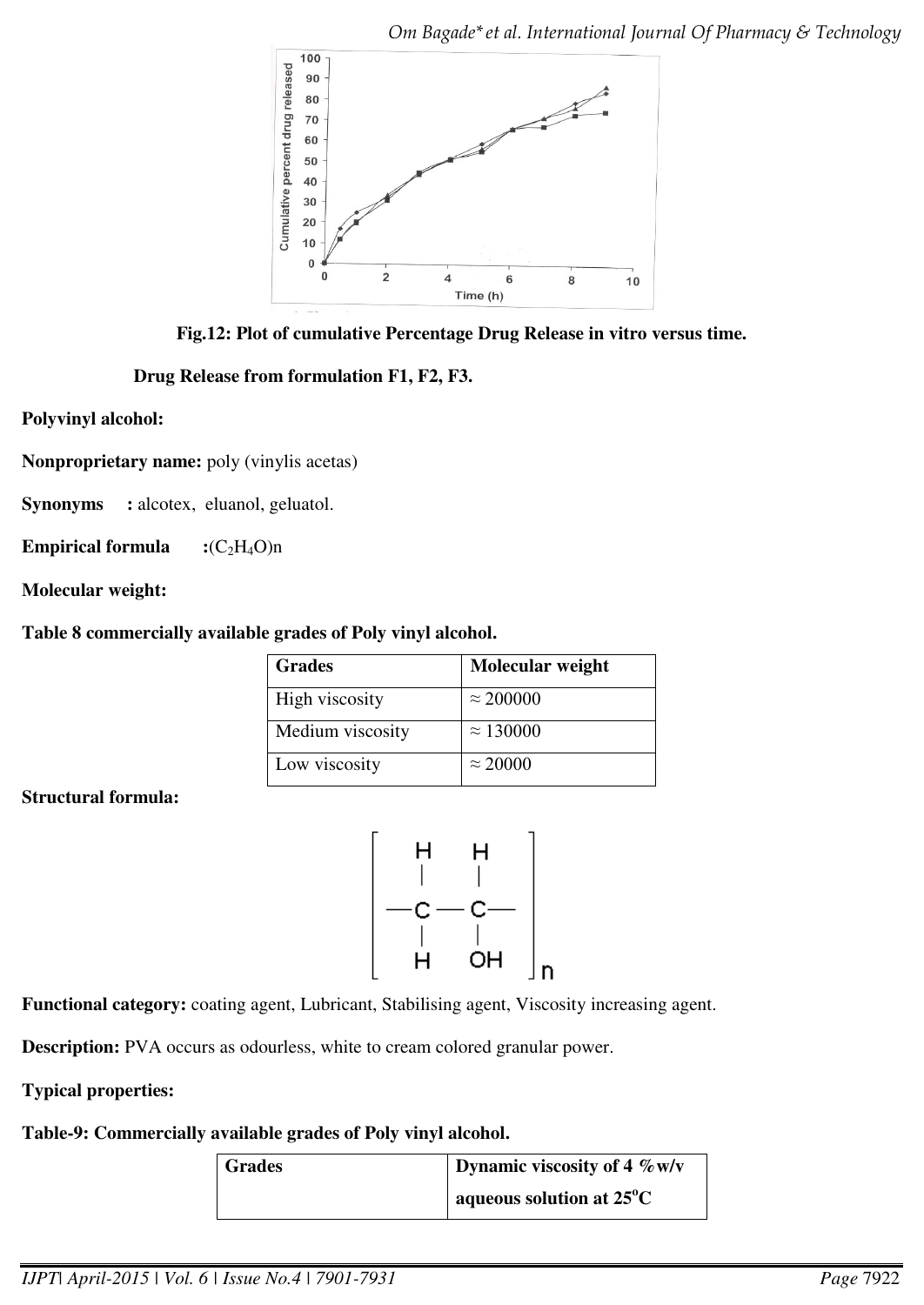

**Fig.12: Plot of cumulative Percentage Drug Release in vitro versus time.** 

 **Drug Release from formulation F1, F2, F3.** 

**Polyvinyl alcohol:** 

**Nonproprietary name:** poly (vinylis acetas)

**Synonyms :** alcotex, eluanol, geluatol.

**Empirical formula**  $:(C_2H_4O)n$ 

**Molecular weight:**

# **Table 8 commercially available grades of Poly vinyl alcohol.**

| <b>Grades</b>    | Molecular weight |
|------------------|------------------|
| High viscosity   | $\approx$ 200000 |
| Medium viscosity | $\approx 130000$ |
| Low viscosity    | $\approx$ 20000  |

**Structural formula:** 



**Functional category:** coating agent, Lubricant, Stabilising agent, Viscosity increasing agent.

**Description:** PVA occurs as odourless, white to cream colored granular power.

# **Typical properties:**

**Table-9: Commercially available grades of Poly vinyl alcohol.** 

| <b>Grades</b> | Dynamic viscosity of 4 $\%$ w/v    |
|---------------|------------------------------------|
|               | aqueous solution at $25^{\circ}$ C |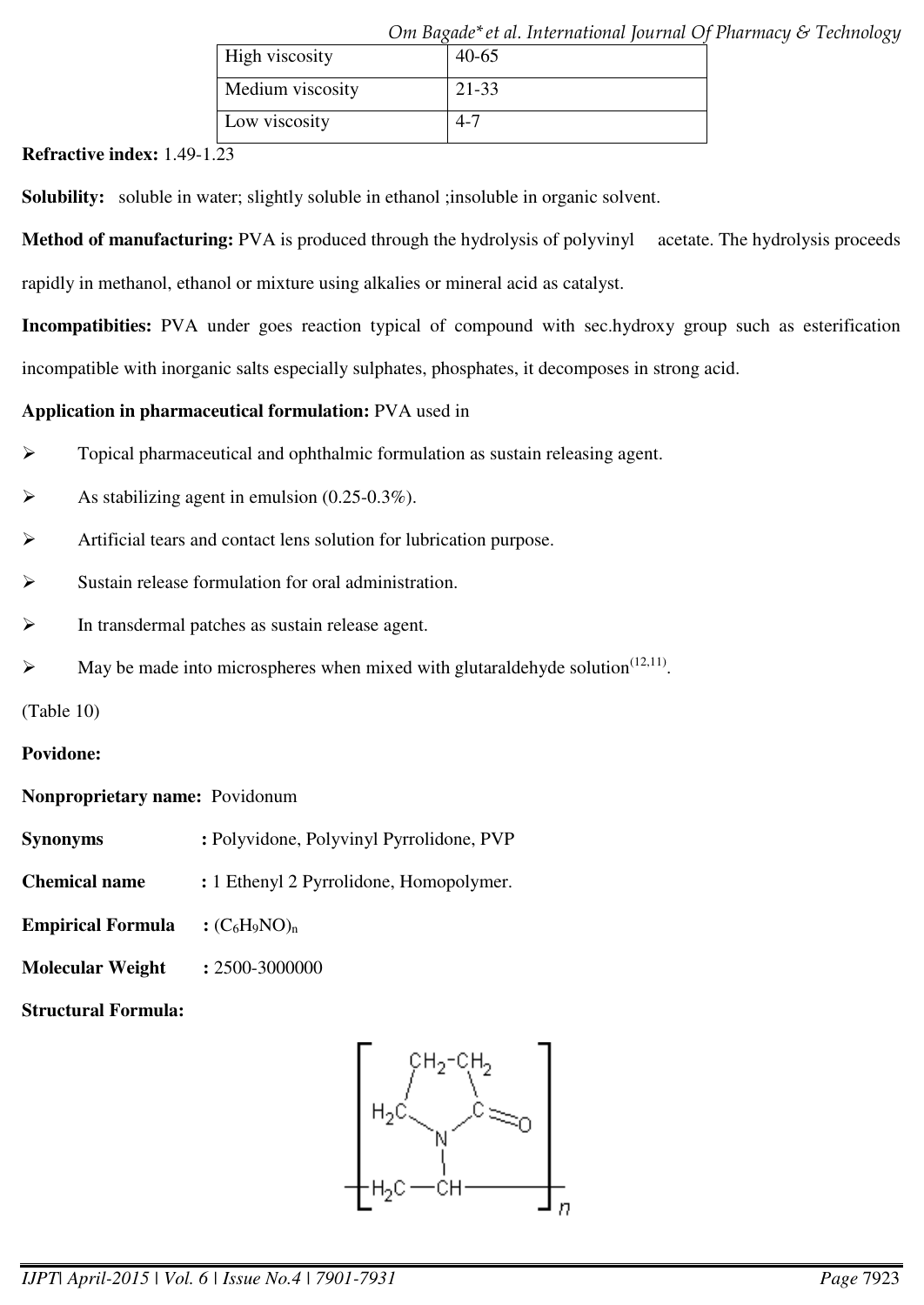|                  | Om Bagade* et al. International Journal Of Pharmacy & Techn |  |
|------------------|-------------------------------------------------------------|--|
| High viscosity   | $40-65$                                                     |  |
| Medium viscosity | 21-33                                                       |  |
| Low viscosity    | 4-7                                                         |  |

*Om Bagade\*et al. International Journal Of Pharmacy & Technology* 

**Refractive index:** 1.49-1.23

**Solubility:** soluble in water; slightly soluble in ethanol ; insoluble in organic solvent.

**Method of manufacturing:** PVA is produced through the hydrolysis of polyvinyl acetate. The hydrolysis proceeds rapidly in methanol, ethanol or mixture using alkalies or mineral acid as catalyst.

**Incompatibities:** PVA under goes reaction typical of compound with sec.hydroxy group such as esterification

incompatible with inorganic salts especially sulphates, phosphates, it decomposes in strong acid.

# **Application in pharmaceutical formulation:** PVA used in

- $\triangleright$  Topical pharmaceutical and ophthalmic formulation as sustain releasing agent.
- As stabilizing agent in emulsion (0.25-0.3%).
- Artificial tears and contact lens solution for lubrication purpose.
- Sustain release formulation for oral administration.
- In transdermal patches as sustain release agent.
- $\blacktriangleright$  May be made into microspheres when mixed with glutaraldehyde solution<sup>(12,11)</sup>.

(Table 10)

# **Povidone:**

# **Nonproprietary name:** Povidonum

- **Synonyms :** Polyvidone, Polyvinyl Pyrrolidone, PVP
- **Chemical name :** 1 Ethenyl 2 Pyrrolidone, Homopolymer.
- **Empirical Formula** :  $(C_6H_9NO)_n$
- **Molecular Weight :** 2500-3000000
- **Structural Formula:**

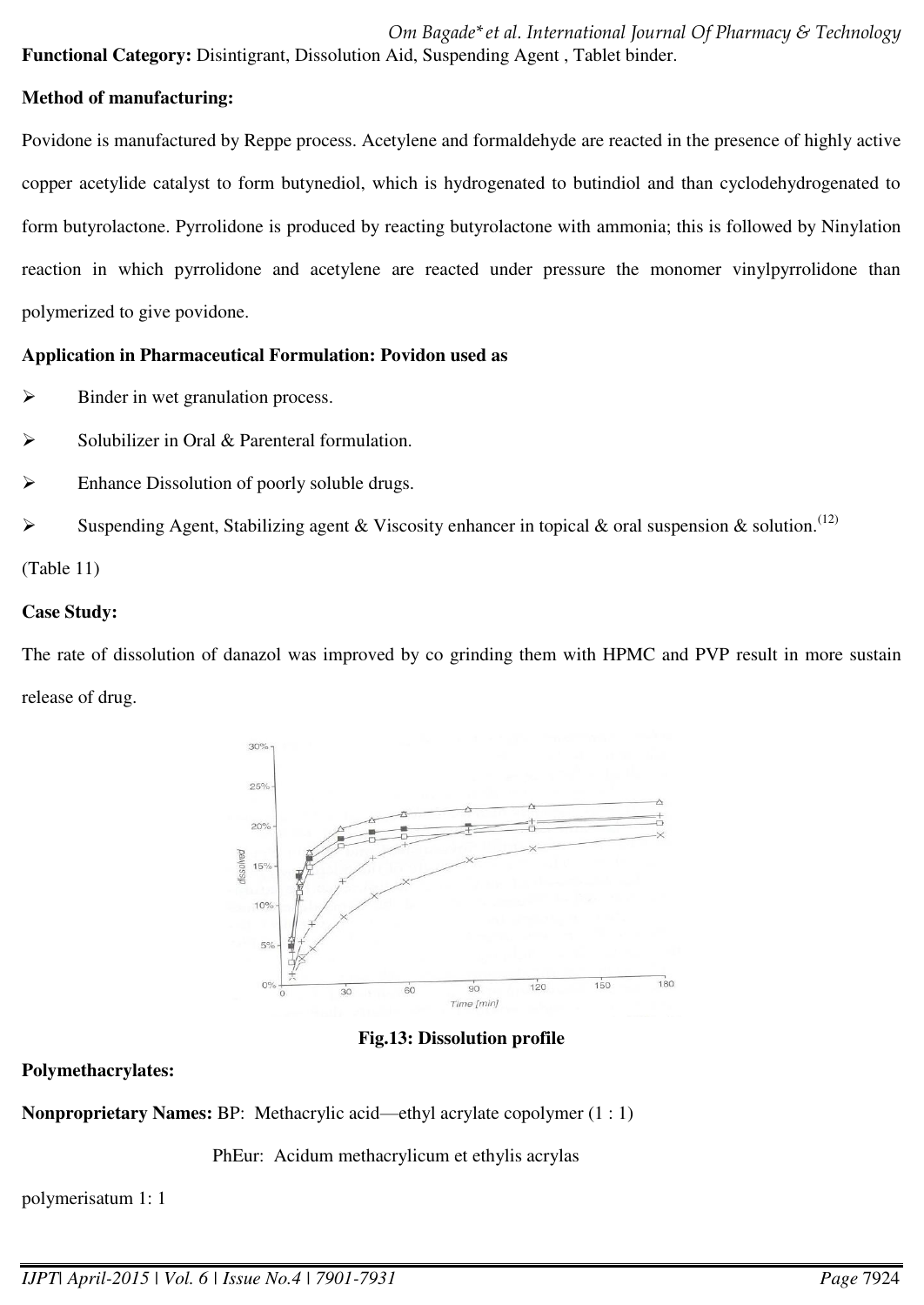*Om Bagade\*et al. International Journal Of Pharmacy & Technology*  **Functional Category:** Disintigrant, Dissolution Aid, Suspending Agent , Tablet binder.

## **Method of manufacturing:**

Povidone is manufactured by Reppe process. Acetylene and formaldehyde are reacted in the presence of highly active copper acetylide catalyst to form butynediol, which is hydrogenated to butindiol and than cyclodehydrogenated to form butyrolactone. Pyrrolidone is produced by reacting butyrolactone with ammonia; this is followed by Ninylation reaction in which pyrrolidone and acetylene are reacted under pressure the monomer vinylpyrrolidone than polymerized to give povidone.

# **Application in Pharmaceutical Formulation: Povidon used as**

- $\triangleright$  Binder in wet granulation process.
- Solubilizer in Oral & Parenteral formulation.
- $\triangleright$  Enhance Dissolution of poorly soluble drugs.
- Suspending Agent, Stabilizing agent & Viscosity enhancer in topical & oral suspension & solution.<sup>(12)</sup>

(Table 11)

# **Case Study:**

The rate of dissolution of danazol was improved by co grinding them with HPMC and PVP result in more sustain release of drug.



**Fig.13: Dissolution profile** 

# **Polymethacrylates:**

**Nonproprietary Names:** BP: Methacrylic acid—ethyl acrylate copolymer (1 : 1)

PhEur: Acidum methacrylicum et ethylis acrylas

polymerisatum 1: 1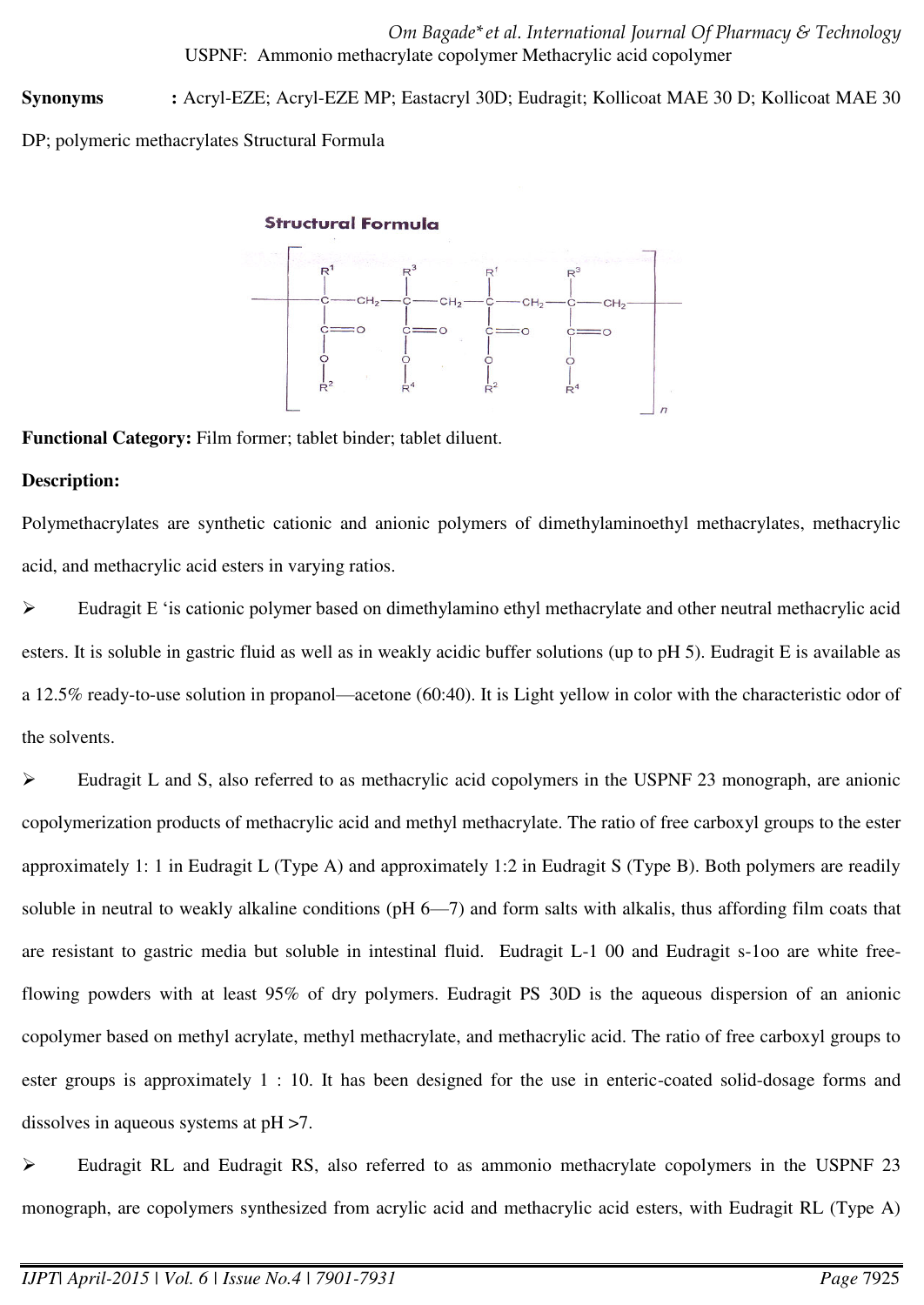*Om Bagade\*et al. International Journal Of Pharmacy & Technology*  USPNF: Ammonio methacrylate copolymer Methacrylic acid copolymer

**Synonyms :** Acryl-EZE; Acryl-EZE MP; Eastacryl 30D; Eudragit; Kollicoat MAE 30 D; Kollicoat MAE 30

DP; polymeric methacrylates Structural Formula

## **Structural Formula**



**Functional Category:** Film former; tablet binder; tablet diluent.

# **Description:**

Polymethacrylates are synthetic cationic and anionic polymers of dimethylaminoethyl methacrylates, methacrylic acid, and methacrylic acid esters in varying ratios.

 Eudragit E 'is cationic polymer based on dimethylamino ethyl methacrylate and other neutral methacrylic acid esters. It is soluble in gastric fluid as well as in weakly acidic buffer solutions (up to pH 5). Eudragit E is available as a 12.5% ready-to-use solution in propanol—acetone (60:40). It is Light yellow in color with the characteristic odor of the solvents.

Eudragit L and S, also referred to as methacrylic acid copolymers in the USPNF 23 monograph, are anionic copolymerization products of methacrylic acid and methyl methacrylate. The ratio of free carboxyl groups to the ester approximately 1: 1 in Eudragit L (Type A) and approximately 1:2 in Eudragit S (Type B). Both polymers are readily soluble in neutral to weakly alkaline conditions (pH 6—7) and form salts with alkalis, thus affording film coats that are resistant to gastric media but soluble in intestinal fluid. Eudragit L-1 00 and Eudragit s-1oo are white freeflowing powders with at least 95% of dry polymers. Eudragit PS 30D is the aqueous dispersion of an anionic copolymer based on methyl acrylate, methyl methacrylate, and methacrylic acid. The ratio of free carboxyl groups to ester groups is approximately 1 : 10. It has been designed for the use in enteric-coated solid-dosage forms and dissolves in aqueous systems at pH >7.

 $\triangleright$  Eudragit RL and Eudragit RS, also referred to as ammonio methacrylate copolymers in the USPNF 23 monograph, are copolymers synthesized from acrylic acid and methacrylic acid esters, with Eudragit RL (Type A)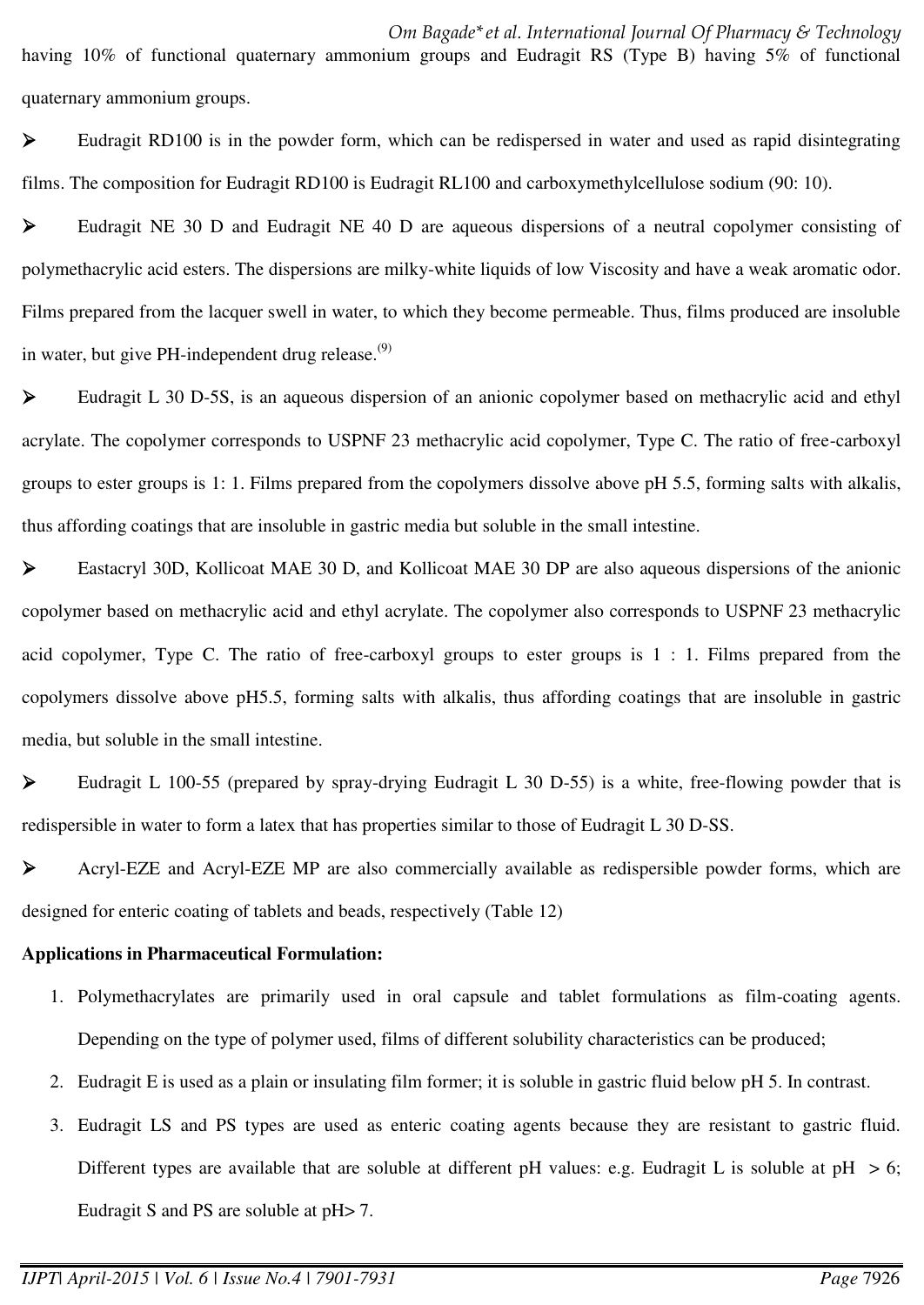having 10% of functional quaternary ammonium groups and Eudragit RS (Type B) having 5% of functional quaternary ammonium groups.

 $\triangleright$  Eudragit RD100 is in the powder form, which can be redispersed in water and used as rapid disintegrating films. The composition for Eudragit RD100 is Eudragit RL100 and carboxymethylcellulose sodium (90: 10).

Eudragit NE 30 D and Eudragit NE 40 D are aqueous dispersions of a neutral copolymer consisting of polymethacrylic acid esters. The dispersions are milky-white liquids of low Viscosity and have a weak aromatic odor. Films prepared from the lacquer swell in water, to which they become permeable. Thus, films produced are insoluble in water, but give PH-independent drug release. $^{(9)}$ 

 Eudragit L 30 D-5S, is an aqueous dispersion of an anionic copolymer based on methacrylic acid and ethyl acrylate. The copolymer corresponds to USPNF 23 methacrylic acid copolymer, Type C. The ratio of free-carboxyl groups to ester groups is 1: 1. Films prepared from the copolymers dissolve above pH 5.5, forming salts with alkalis, thus affording coatings that are insoluble in gastric media but soluble in the small intestine.

 Eastacryl 30D, Kollicoat MAE 30 D, and Kollicoat MAE 30 DP are also aqueous dispersions of the anionic copolymer based on methacrylic acid and ethyl acrylate. The copolymer also corresponds to USPNF 23 methacrylic acid copolymer, Type C. The ratio of free-carboxyl groups to ester groups is 1 : 1. Films prepared from the copolymers dissolve above pH5.5, forming salts with alkalis, thus affording coatings that are insoluble in gastric media, but soluble in the small intestine.

Eudragit L 100-55 (prepared by spray-drying Eudragit L 30 D-55) is a white, free-flowing powder that is redispersible in water to form a latex that has properties similar to those of Eudragit L 30 D-SS.

 Acryl-EZE and Acryl-EZE MP are also commercially available as redispersible powder forms, which are designed for enteric coating of tablets and beads, respectively (Table 12)

### **Applications in Pharmaceutical Formulation:**

- 1. Polymethacrylates are primarily used in oral capsule and tablet formulations as film-coating agents. Depending on the type of polymer used, films of different solubility characteristics can be produced;
- 2. Eudragit E is used as a plain or insulating film former; it is soluble in gastric fluid below pH 5. In contrast.
- 3. Eudragit LS and PS types are used as enteric coating agents because they are resistant to gastric fluid. Different types are available that are soluble at different pH values: e.g. Eudragit L is soluble at  $pH > 6$ ; Eudragit S and PS are soluble at pH> 7.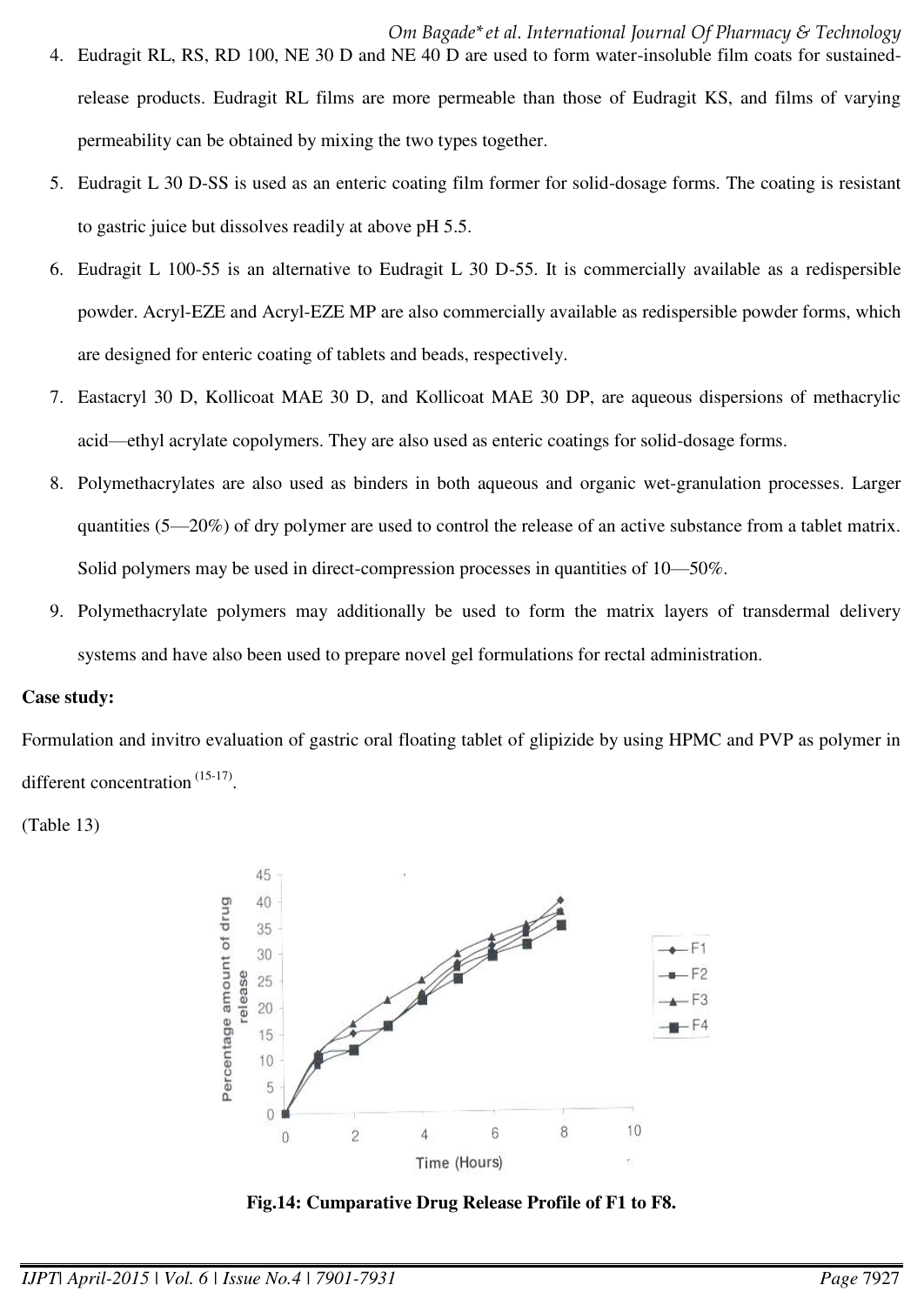- 5. Eudragit L 30 D-SS is used as an enteric coating film former for solid-dosage forms. The coating is resistant to gastric juice but dissolves readily at above pH 5.5.
- 6. Eudragit L 100-55 is an alternative to Eudragit L 30 D-55. It is commercially available as a redispersible powder. Acryl-EZE and Acryl-EZE MP are also commercially available as redispersible powder forms, which are designed for enteric coating of tablets and beads, respectively.
- 7. Eastacryl 30 D, Kollicoat MAE 30 D, and Kollicoat MAE 30 DP, are aqueous dispersions of methacrylic acid—ethyl acrylate copolymers. They are also used as enteric coatings for solid-dosage forms.
- 8. Polymethacrylates are also used as binders in both aqueous and organic wet-granulation processes. Larger quantities (5—20%) of dry polymer are used to control the release of an active substance from a tablet matrix. Solid polymers may be used in direct-compression processes in quantities of 10—50%.
- 9. Polymethacrylate polymers may additionally be used to form the matrix layers of transdermal delivery systems and have also been used to prepare novel gel formulations for rectal administration.

### **Case study:**

Formulation and invitro evaluation of gastric oral floating tablet of glipizide by using HPMC and PVP as polymer in different concentration  $(15-17)$ .

(Table 13)



**Fig.14: Cumparative Drug Release Profile of F1 to F8.**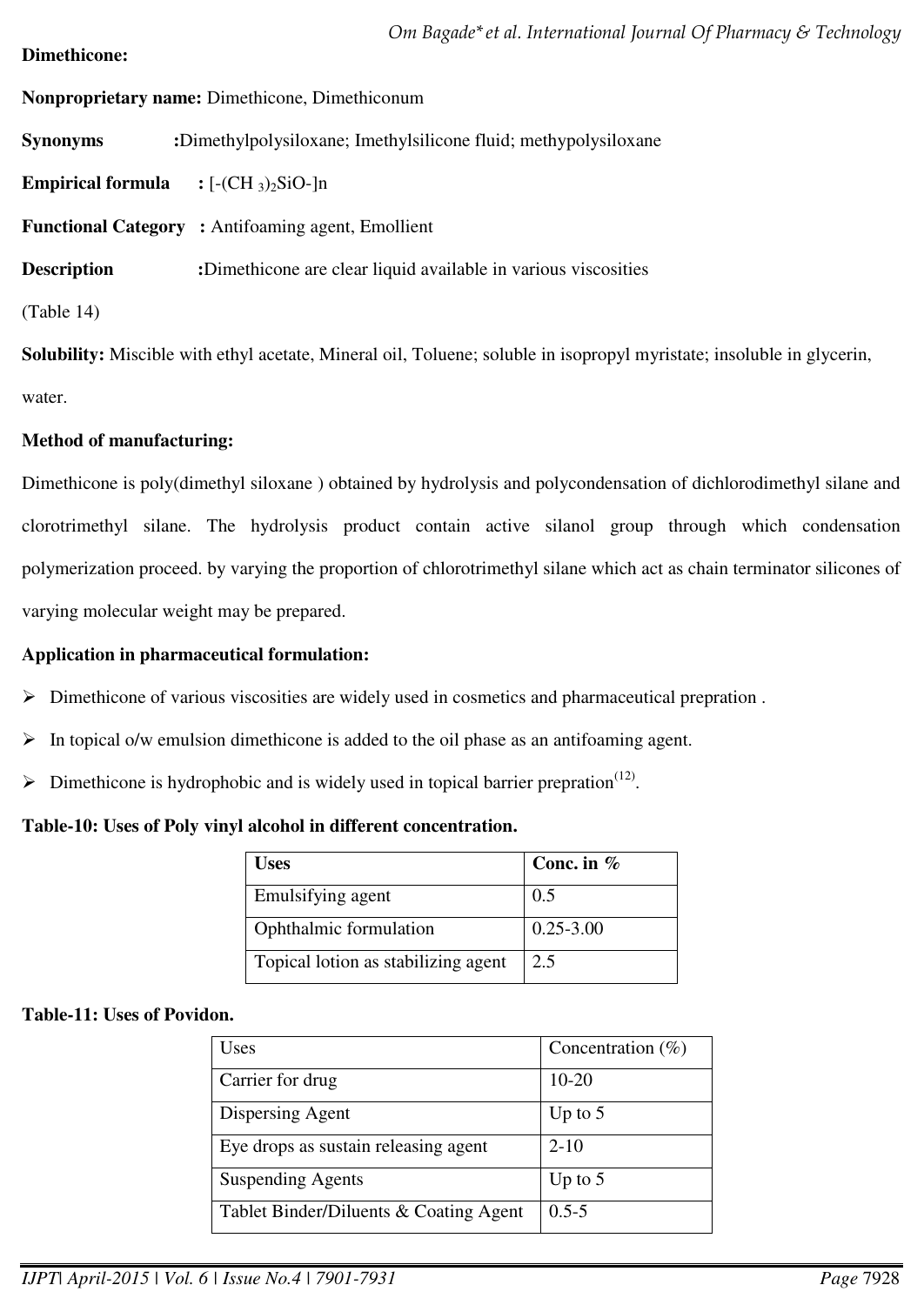## **Dimethicone:**

**Nonproprietary name:** Dimethicone, Dimethiconum

**Synonyms :**Dimethylpolysiloxane; Imethylsilicone fluid; methypolysiloxane

**Empirical formula**  $: [-(CH_3)_2SiO-]n$ 

**Functional Category :** Antifoaming agent, Emollient

**Description :**Dimethicone are clear liquid available in various viscosities

(Table 14)

**Solubility:** Miscible with ethyl acetate, Mineral oil, Toluene; soluble in isopropyl myristate; insoluble in glycerin, water.

# **Method of manufacturing:**

Dimethicone is poly(dimethyl siloxane ) obtained by hydrolysis and polycondensation of dichlorodimethyl silane and clorotrimethyl silane. The hydrolysis product contain active silanol group through which condensation polymerization proceed. by varying the proportion of chlorotrimethyl silane which act as chain terminator silicones of varying molecular weight may be prepared.

# **Application in pharmaceutical formulation:**

- Dimethicone of various viscosities are widely used in cosmetics and pharmaceutical prepration .
- $\triangleright$  In topical o/w emulsion dimethicone is added to the oil phase as an antifoaming agent.
- $\triangleright$  Dimethicone is hydrophobic and is widely used in topical barrier prepration<sup>(12)</sup>.

## **Table-10: Uses of Poly vinyl alcohol in different concentration.**

| Uses                                | Conc. in $%$  |
|-------------------------------------|---------------|
| Emulsifying agent                   | 0.5           |
| Ophthalmic formulation              | $0.25 - 3.00$ |
| Topical lotion as stabilizing agent | 2.5           |

### **Table-11: Uses of Povidon.**

| Uses                                   | Concentration $(\%)$ |
|----------------------------------------|----------------------|
| Carrier for drug                       | $10 - 20$            |
| Dispersing Agent                       | Up to $5$            |
| Eye drops as sustain releasing agent   | $2 - 10$             |
| <b>Suspending Agents</b>               | Up to $5$            |
| Tablet Binder/Diluents & Coating Agent | $0.5 - 5$            |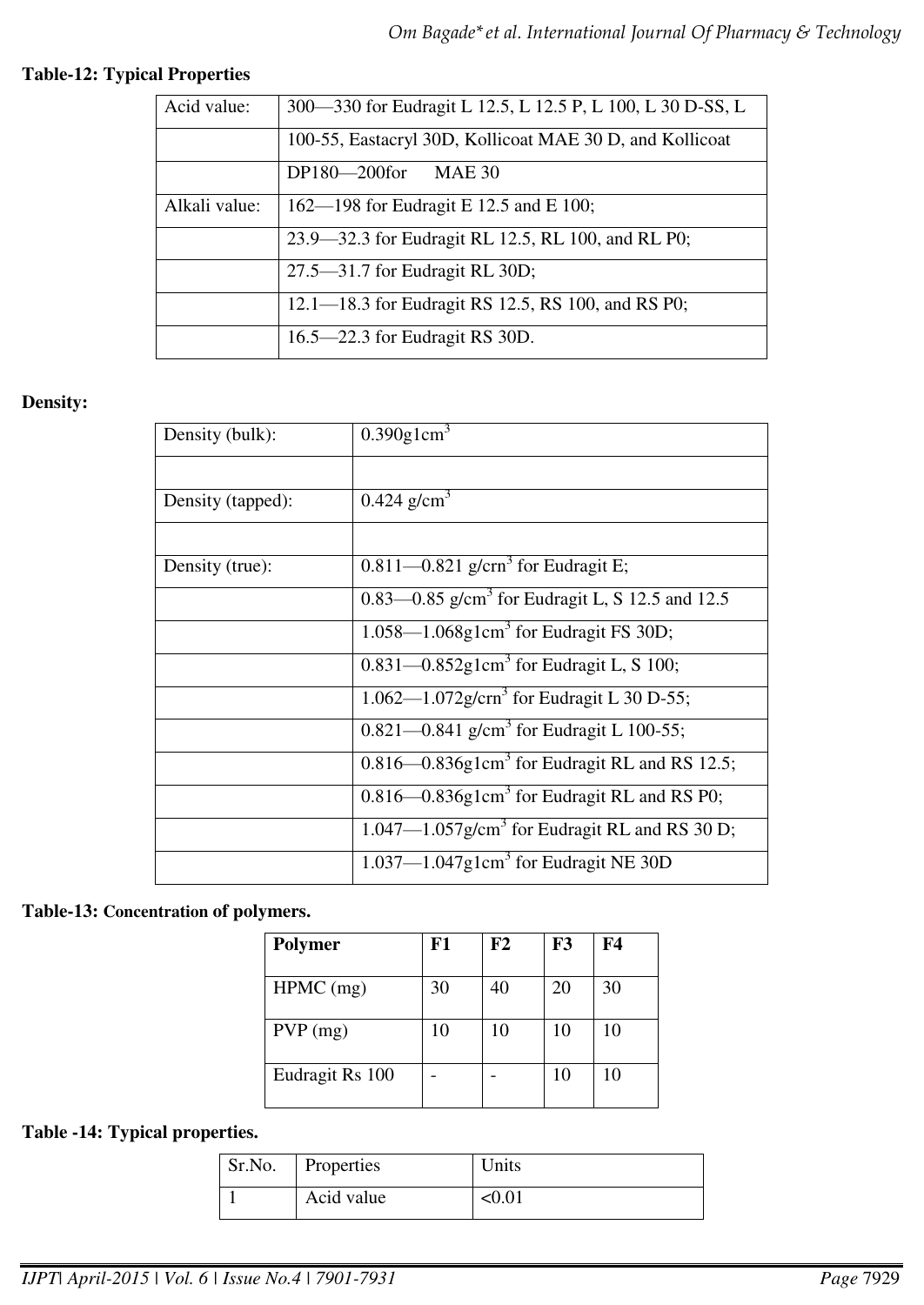# **Table-12: Typical Properties**

| Acid value:   | 300-330 for Eudragit L 12.5, L 12.5 P, L 100, L 30 D-SS, L |
|---------------|------------------------------------------------------------|
|               | 100-55, Eastacryl 30D, Kollicoat MAE 30 D, and Kollicoat   |
|               | DP180-200for<br><b>MAE 30</b>                              |
| Alkali value: | 162—198 for Eudragit E 12.5 and E 100;                     |
|               | 23.9—32.3 for Eudragit RL 12.5, RL 100, and RL P0;         |
|               | 27.5–31.7 for Eudragit RL 30D;                             |
|               | 12.1—18.3 for Eudragit RS 12.5, RS 100, and RS P0;         |
|               | $16.5 - 22.3$ for Eudragit RS 30D.                         |

# **Density:**

| Density (bulk):   | $0.390$ g1cm <sup>3</sup>                                      |
|-------------------|----------------------------------------------------------------|
|                   |                                                                |
| Density (tapped): | 0.424 $g/cm^3$                                                 |
|                   |                                                                |
| Density (true):   | $0.811 - 0.821$ g/cm <sup>3</sup> for Eudragit E;              |
|                   | 0.83—0.85 g/cm <sup>3</sup> for Eudragit L, S 12.5 and 12.5    |
|                   | $1.058 - 1.068$ g1cm <sup>3</sup> for Eudragit FS 30D;         |
|                   | 0.831—0.852g1cm <sup>3</sup> for Eudragit L, S 100;            |
|                   | 1.062—1.072g/cm <sup>3</sup> for Eudragit L 30 D-55;           |
|                   | 0.821—0.841 g/cm <sup>3</sup> for Eudragit L 100-55;           |
|                   | $0.816 - 0.836g1 \text{cm}^3$ for Eudragit RL and RS 12.5;     |
|                   | $0.816 - 0.836g1 \text{cm}^3$ for Eudragit RL and RS P0;       |
|                   | $1.047 - 1.057$ g/cm <sup>3</sup> for Eudragit RL and RS 30 D; |
|                   | $1.037 - 1.047$ g1cm <sup>3</sup> for Eudragit NE 30D          |

# **Table-13: Concentration of polymers.**

| <b>Polymer</b>  | F1 | F2 | F3 | F4 |
|-----------------|----|----|----|----|
| $HPMC$ (mg)     | 30 | 40 | 20 | 30 |
| $PVP$ (mg)      | 10 | 10 | 10 | 10 |
| Eudragit Rs 100 |    |    | 10 | 10 |

# **Table -14: Typical properties.**

| Sr.No. | Properties | Units         |
|--------|------------|---------------|
|        | Acid value | $< \!\! 0.01$ |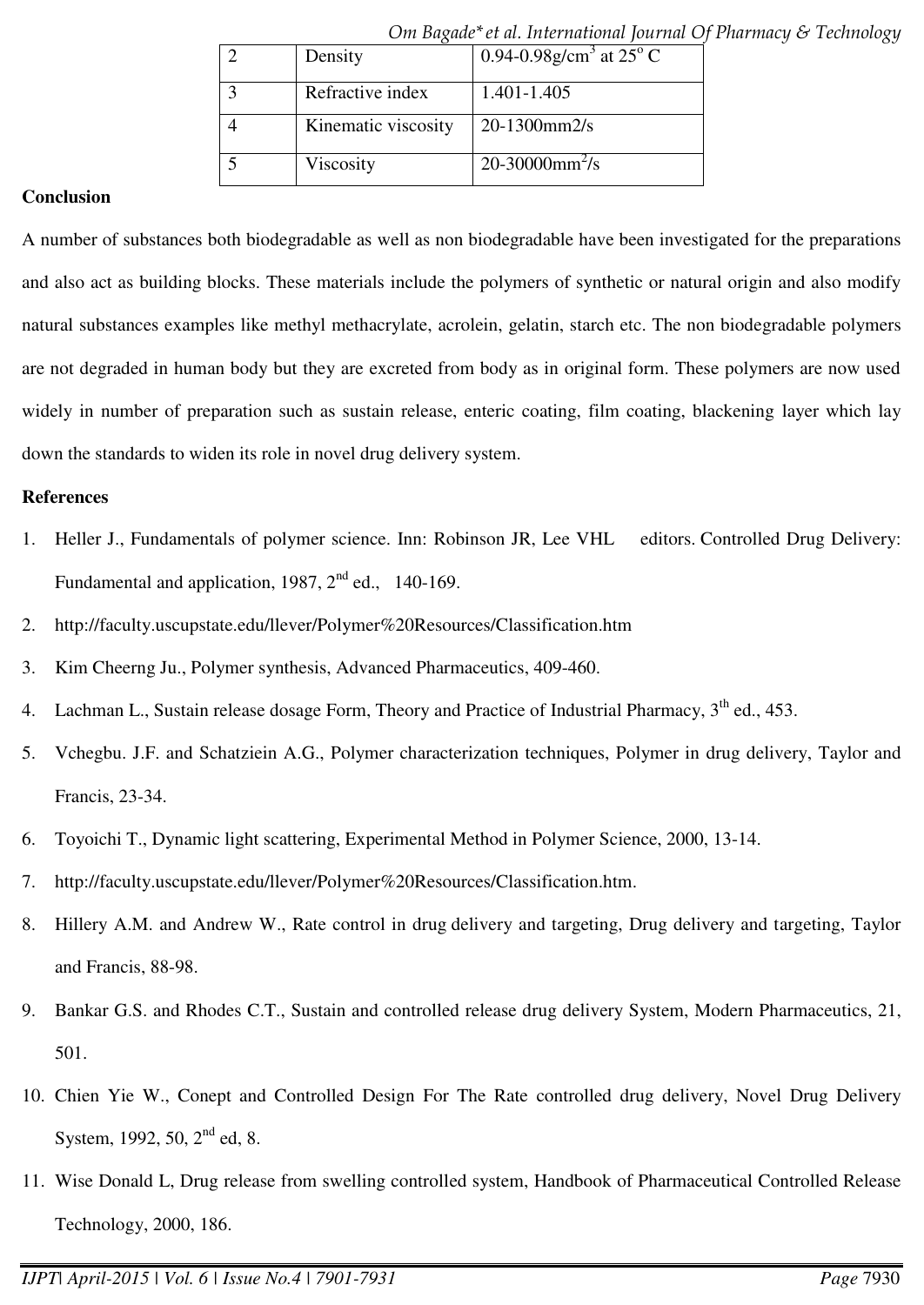|                     | Om Duxuut ti ul. mittruutonut journut Of     |
|---------------------|----------------------------------------------|
| Density             | 0.94-0.98g/cm <sup>3</sup> at $25^{\circ}$ C |
| Refractive index    | 1.401-1.405                                  |
| Kinematic viscosity | $20-1300$ mm $2/s$                           |
| Viscosity           | 20-30000mm <sup>2</sup> /s                   |

*Om Bagade\*et al. International Journal Of Pharmacy & Technology* 

## **Conclusion**

A number of substances both biodegradable as well as non biodegradable have been investigated for the preparations and also act as building blocks. These materials include the polymers of synthetic or natural origin and also modify natural substances examples like methyl methacrylate, acrolein, gelatin, starch etc. The non biodegradable polymers are not degraded in human body but they are excreted from body as in original form. These polymers are now used widely in number of preparation such as sustain release, enteric coating, film coating, blackening layer which lay down the standards to widen its role in novel drug delivery system.

### **References**

- 1. Heller J., Fundamentals of polymer science. Inn: Robinson JR, Lee VHL editors. Controlled Drug Delivery: Fundamental and application, 1987,  $2<sup>nd</sup>$  ed., 140-169.
- 2. http://faculty.uscupstate.edu/llever/Polymer%20Resources/Classification.htm
- 3. Kim Cheerng Ju., Polymer synthesis, Advanced Pharmaceutics, 409-460.
- 4. Lachman L., Sustain release dosage Form, Theory and Practice of Industrial Pharmacy, 3<sup>th</sup> ed., 453.
- 5. Vchegbu. J.F. and Schatziein A.G., Polymer characterization techniques, Polymer in drug delivery, Taylor and Francis, 23-34.
- 6. Toyoichi T., Dynamic light scattering, Experimental Method in Polymer Science, 2000, 13-14.
- 7. http://faculty.uscupstate.edu/llever/Polymer%20Resources/Classification.htm.
- 8. Hillery A.M. and Andrew W., Rate control in drug delivery and targeting, Drug delivery and targeting, Taylor and Francis, 88-98.
- 9. Bankar G.S. and Rhodes C.T., Sustain and controlled release drug delivery System, Modern Pharmaceutics, 21, 501.
- 10. Chien Yie W., Conept and Controlled Design For The Rate controlled drug delivery, Novel Drug Delivery System, 1992, 50, 2<sup>nd</sup> ed, 8.
- 11. Wise Donald L, Drug release from swelling controlled system, Handbook of Pharmaceutical Controlled Release Technology, 2000, 186.